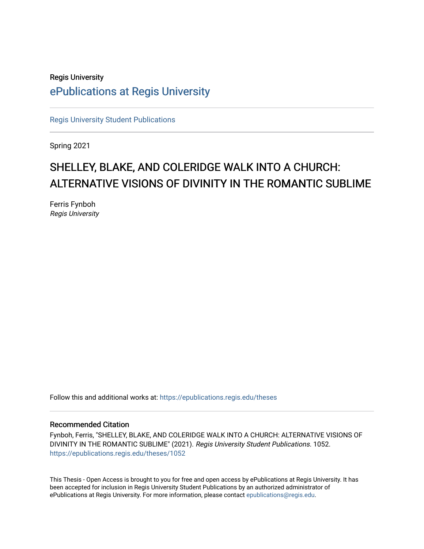## Regis University [ePublications at Regis University](https://epublications.regis.edu/)

[Regis University Student Publications](https://epublications.regis.edu/theses) 

Spring 2021

# SHELLEY, BLAKE, AND COLERIDGE WALK INTO A CHURCH: ALTERNATIVE VISIONS OF DIVINITY IN THE ROMANTIC SUBLIME

Ferris Fynboh Regis University

Follow this and additional works at: [https://epublications.regis.edu/theses](https://epublications.regis.edu/theses?utm_source=epublications.regis.edu%2Ftheses%2F1052&utm_medium=PDF&utm_campaign=PDFCoverPages)

### Recommended Citation

Fynboh, Ferris, "SHELLEY, BLAKE, AND COLERIDGE WALK INTO A CHURCH: ALTERNATIVE VISIONS OF DIVINITY IN THE ROMANTIC SUBLIME" (2021). Regis University Student Publications. 1052. [https://epublications.regis.edu/theses/1052](https://epublications.regis.edu/theses/1052?utm_source=epublications.regis.edu%2Ftheses%2F1052&utm_medium=PDF&utm_campaign=PDFCoverPages) 

This Thesis - Open Access is brought to you for free and open access by ePublications at Regis University. It has been accepted for inclusion in Regis University Student Publications by an authorized administrator of ePublications at Regis University. For more information, please contact [epublications@regis.edu.](mailto:epublications@regis.edu)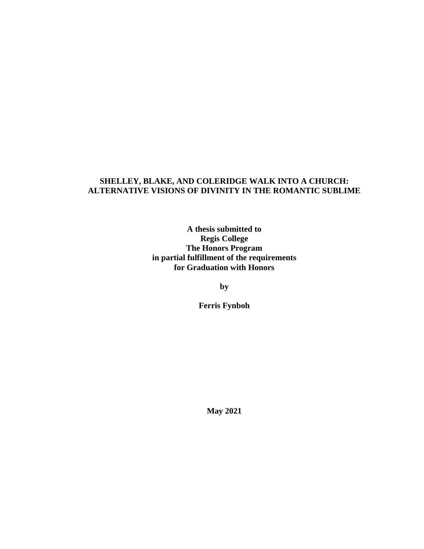### **SHELLEY, BLAKE, AND COLERIDGE WALK INTO A CHURCH: ALTERNATIVE VISIONS OF DIVINITY IN THE ROMANTIC SUBLIME**

**A thesis submitted to Regis College The Honors Program in partial fulfillment of the requirements for Graduation with Honors**

**by**

**Ferris Fynboh**

**May 2021**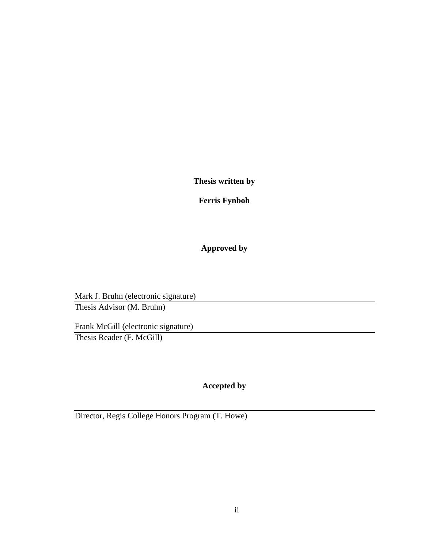**Thesis written by**

**Ferris Fynboh**

**Approved by**

Mark J. Bruhn (electronic signature) Thesis Advisor (M. Bruhn)

Frank McGill (electronic signature) Thesis Reader (F. McGill)

**Accepted by**

Director, Regis College Honors Program (T. Howe)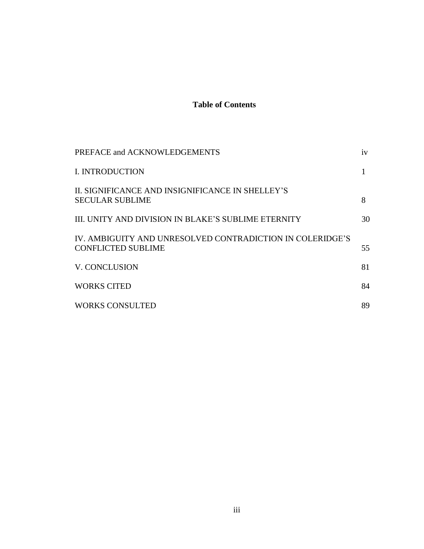### **Table of Contents**

| PREFACE and ACKNOWLEDGEMENTS                                                           | iv |
|----------------------------------------------------------------------------------------|----|
| <b>I. INTRODUCTION</b>                                                                 |    |
| II. SIGNIFICANCE AND INSIGNIFICANCE IN SHELLEY'S<br><b>SECULAR SUBLIME</b>             | 8  |
| III. UNITY AND DIVISION IN BLAKE'S SUBLIME ETERNITY                                    | 30 |
| IV. AMBIGUITY AND UNRESOLVED CONTRADICTION IN COLERIDGE'S<br><b>CONFLICTED SUBLIME</b> | 55 |
| V. CONCLUSION                                                                          | 81 |
| <b>WORKS CITED</b>                                                                     | 84 |
| <b>WORKS CONSULTED</b>                                                                 | 89 |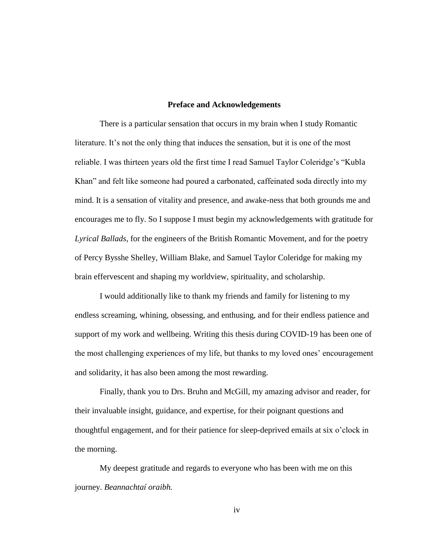### **Preface and Acknowledgements**

There is a particular sensation that occurs in my brain when I study Romantic literature. It's not the only thing that induces the sensation, but it is one of the most reliable. I was thirteen years old the first time I read Samuel Taylor Coleridge's "Kubla Khan" and felt like someone had poured a carbonated, caffeinated soda directly into my mind. It is a sensation of vitality and presence, and awake-ness that both grounds me and encourages me to fly. So I suppose I must begin my acknowledgements with gratitude for *Lyrical Ballads*, for the engineers of the British Romantic Movement, and for the poetry of Percy Bysshe Shelley, William Blake, and Samuel Taylor Coleridge for making my brain effervescent and shaping my worldview, spirituality, and scholarship.

I would additionally like to thank my friends and family for listening to my endless screaming, whining, obsessing, and enthusing, and for their endless patience and support of my work and wellbeing. Writing this thesis during COVID-19 has been one of the most challenging experiences of my life, but thanks to my loved ones' encouragement and solidarity, it has also been among the most rewarding.

Finally, thank you to Drs. Bruhn and McGill, my amazing advisor and reader, for their invaluable insight, guidance, and expertise, for their poignant questions and thoughtful engagement, and for their patience for sleep-deprived emails at six o'clock in the morning.

My deepest gratitude and regards to everyone who has been with me on this journey. *Beannachtaí oraibh.*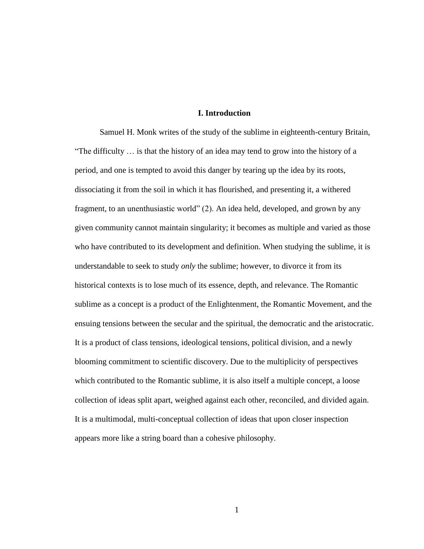### **I. Introduction**

Samuel H. Monk writes of the study of the sublime in eighteenth-century Britain, "The difficulty … is that the history of an idea may tend to grow into the history of a period, and one is tempted to avoid this danger by tearing up the idea by its roots, dissociating it from the soil in which it has flourished, and presenting it, a withered fragment, to an unenthusiastic world" (2). An idea held, developed, and grown by any given community cannot maintain singularity; it becomes as multiple and varied as those who have contributed to its development and definition. When studying the sublime, it is understandable to seek to study *only* the sublime; however, to divorce it from its historical contexts is to lose much of its essence, depth, and relevance. The Romantic sublime as a concept is a product of the Enlightenment, the Romantic Movement, and the ensuing tensions between the secular and the spiritual, the democratic and the aristocratic. It is a product of class tensions, ideological tensions, political division, and a newly blooming commitment to scientific discovery. Due to the multiplicity of perspectives which contributed to the Romantic sublime, it is also itself a multiple concept, a loose collection of ideas split apart, weighed against each other, reconciled, and divided again. It is a multimodal, multi-conceptual collection of ideas that upon closer inspection appears more like a string board than a cohesive philosophy.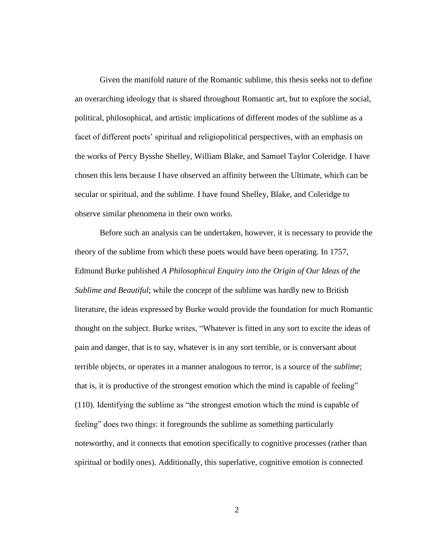Given the manifold nature of the Romantic sublime, this thesis seeks not to define an overarching ideology that is shared throughout Romantic art, but to explore the social, political, philosophical, and artistic implications of different modes of the sublime as a facet of different poets' spiritual and religiopolitical perspectives, with an emphasis on the works of Percy Bysshe Shelley, William Blake, and Samuel Taylor Coleridge. I have chosen this lens because I have observed an affinity between the Ultimate, which can be secular or spiritual, and the sublime. I have found Shelley, Blake, and Coleridge to observe similar phenomena in their own works.

Before such an analysis can be undertaken, however, it is necessary to provide the theory of the sublime from which these poets would have been operating. In 1757, Edmund Burke published *A Philosophical Enquiry into the Origin of Our Ideas of the Sublime and Beautiful*; while the concept of the sublime was hardly new to British literature, the ideas expressed by Burke would provide the foundation for much Romantic thought on the subject. Burke writes, "Whatever is fitted in any sort to excite the ideas of pain and danger, that is to say, whatever is in any sort terrible, or is conversant about terrible objects, or operates in a manner analogous to terror, is a source of the *sublime*; that is, it is productive of the strongest emotion which the mind is capable of feeling" (110). Identifying the sublime as "the strongest emotion which the mind is capable of feeling" does two things: it foregrounds the sublime as something particularly noteworthy, and it connects that emotion specifically to cognitive processes (rather than spiritual or bodily ones). Additionally, this superlative, cognitive emotion is connected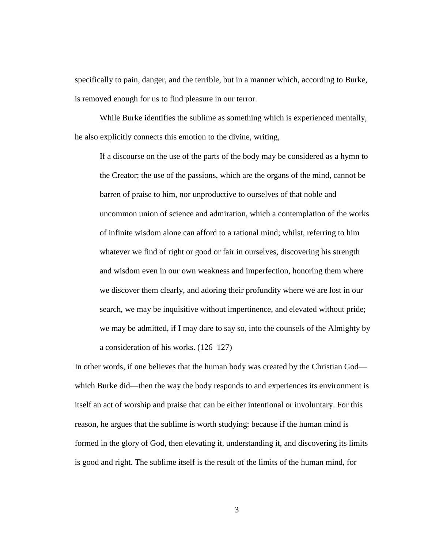specifically to pain, danger, and the terrible, but in a manner which, according to Burke, is removed enough for us to find pleasure in our terror.

While Burke identifies the sublime as something which is experienced mentally, he also explicitly connects this emotion to the divine, writing,

If a discourse on the use of the parts of the body may be considered as a hymn to the Creator; the use of the passions, which are the organs of the mind, cannot be barren of praise to him, nor unproductive to ourselves of that noble and uncommon union of science and admiration, which a contemplation of the works of infinite wisdom alone can afford to a rational mind; whilst, referring to him whatever we find of right or good or fair in ourselves, discovering his strength and wisdom even in our own weakness and imperfection, honoring them where we discover them clearly, and adoring their profundity where we are lost in our search, we may be inquisitive without impertinence, and elevated without pride; we may be admitted, if I may dare to say so, into the counsels of the Almighty by a consideration of his works. (126–127)

In other words, if one believes that the human body was created by the Christian God which Burke did—then the way the body responds to and experiences its environment is itself an act of worship and praise that can be either intentional or involuntary. For this reason, he argues that the sublime is worth studying: because if the human mind is formed in the glory of God, then elevating it, understanding it, and discovering its limits is good and right. The sublime itself is the result of the limits of the human mind, for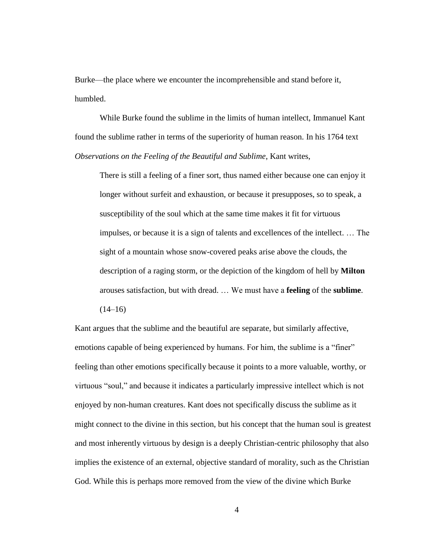Burke—the place where we encounter the incomprehensible and stand before it, humbled.

While Burke found the sublime in the limits of human intellect, Immanuel Kant found the sublime rather in terms of the superiority of human reason. In his 1764 text *Observations on the Feeling of the Beautiful and Sublime*, Kant writes,

There is still a feeling of a finer sort, thus named either because one can enjoy it longer without surfeit and exhaustion, or because it presupposes, so to speak, a susceptibility of the soul which at the same time makes it fit for virtuous impulses, or because it is a sign of talents and excellences of the intellect. … The sight of a mountain whose snow-covered peaks arise above the clouds, the description of a raging storm, or the depiction of the kingdom of hell by **Milton**  arouses satisfaction, but with dread. … We must have a **feeling** of the **sublime**.

 $(14-16)$ 

Kant argues that the sublime and the beautiful are separate, but similarly affective, emotions capable of being experienced by humans. For him, the sublime is a "finer" feeling than other emotions specifically because it points to a more valuable, worthy, or virtuous "soul," and because it indicates a particularly impressive intellect which is not enjoyed by non-human creatures. Kant does not specifically discuss the sublime as it might connect to the divine in this section, but his concept that the human soul is greatest and most inherently virtuous by design is a deeply Christian-centric philosophy that also implies the existence of an external, objective standard of morality, such as the Christian God. While this is perhaps more removed from the view of the divine which Burke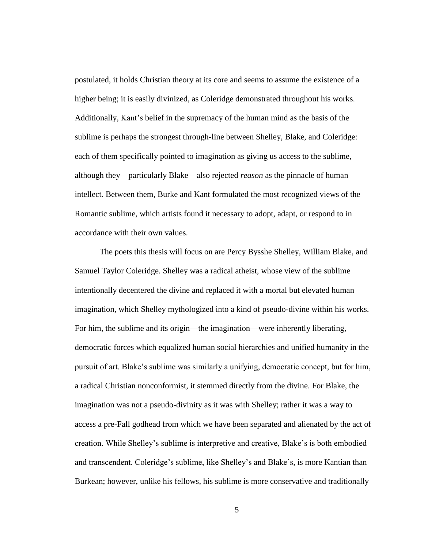postulated, it holds Christian theory at its core and seems to assume the existence of a higher being; it is easily divinized, as Coleridge demonstrated throughout his works. Additionally, Kant's belief in the supremacy of the human mind as the basis of the sublime is perhaps the strongest through-line between Shelley, Blake, and Coleridge: each of them specifically pointed to imagination as giving us access to the sublime, although they—particularly Blake—also rejected *reason* as the pinnacle of human intellect. Between them, Burke and Kant formulated the most recognized views of the Romantic sublime, which artists found it necessary to adopt, adapt, or respond to in accordance with their own values.

The poets this thesis will focus on are Percy Bysshe Shelley, William Blake, and Samuel Taylor Coleridge. Shelley was a radical atheist, whose view of the sublime intentionally decentered the divine and replaced it with a mortal but elevated human imagination, which Shelley mythologized into a kind of pseudo-divine within his works. For him, the sublime and its origin—the imagination—were inherently liberating, democratic forces which equalized human social hierarchies and unified humanity in the pursuit of art. Blake's sublime was similarly a unifying, democratic concept, but for him, a radical Christian nonconformist, it stemmed directly from the divine. For Blake, the imagination was not a pseudo-divinity as it was with Shelley; rather it was a way to access a pre-Fall godhead from which we have been separated and alienated by the act of creation. While Shelley's sublime is interpretive and creative, Blake's is both embodied and transcendent. Coleridge's sublime, like Shelley's and Blake's, is more Kantian than Burkean; however, unlike his fellows, his sublime is more conservative and traditionally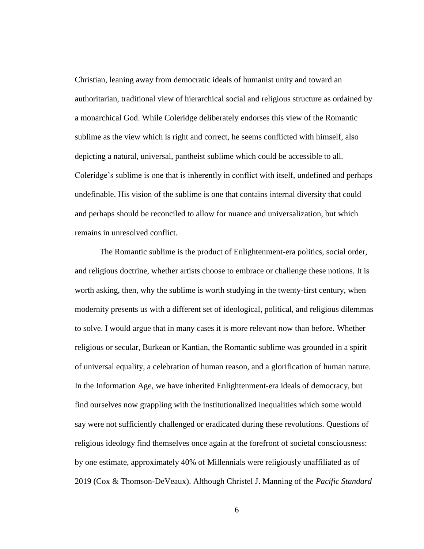Christian, leaning away from democratic ideals of humanist unity and toward an authoritarian, traditional view of hierarchical social and religious structure as ordained by a monarchical God. While Coleridge deliberately endorses this view of the Romantic sublime as the view which is right and correct, he seems conflicted with himself, also depicting a natural, universal, pantheist sublime which could be accessible to all. Coleridge's sublime is one that is inherently in conflict with itself, undefined and perhaps undefinable. His vision of the sublime is one that contains internal diversity that could and perhaps should be reconciled to allow for nuance and universalization, but which remains in unresolved conflict.

The Romantic sublime is the product of Enlightenment-era politics, social order, and religious doctrine, whether artists choose to embrace or challenge these notions. It is worth asking, then, why the sublime is worth studying in the twenty-first century, when modernity presents us with a different set of ideological, political, and religious dilemmas to solve. I would argue that in many cases it is more relevant now than before. Whether religious or secular, Burkean or Kantian, the Romantic sublime was grounded in a spirit of universal equality, a celebration of human reason, and a glorification of human nature. In the Information Age, we have inherited Enlightenment-era ideals of democracy, but find ourselves now grappling with the institutionalized inequalities which some would say were not sufficiently challenged or eradicated during these revolutions. Questions of religious ideology find themselves once again at the forefront of societal consciousness: by one estimate, approximately 40% of Millennials were religiously unaffiliated as of 2019 (Cox & Thomson-DeVeaux). Although Christel J. Manning of the *Pacific Standard*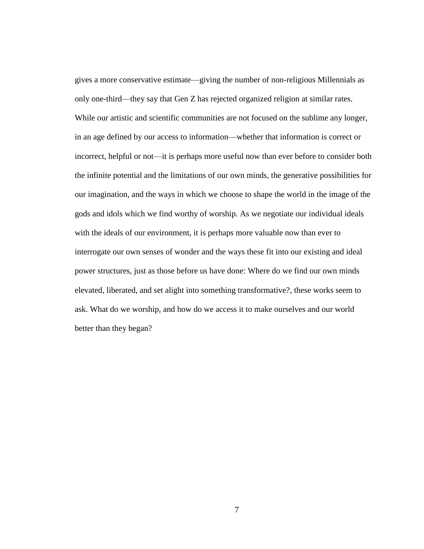gives a more conservative estimate—giving the number of non-religious Millennials as only one-third—they say that Gen Z has rejected organized religion at similar rates. While our artistic and scientific communities are not focused on the sublime any longer, in an age defined by our access to information—whether that information is correct or incorrect, helpful or not—it is perhaps more useful now than ever before to consider both the infinite potential and the limitations of our own minds, the generative possibilities for our imagination, and the ways in which we choose to shape the world in the image of the gods and idols which we find worthy of worship. As we negotiate our individual ideals with the ideals of our environment, it is perhaps more valuable now than ever to interrogate our own senses of wonder and the ways these fit into our existing and ideal power structures, just as those before us have done: Where do we find our own minds elevated, liberated, and set alight into something transformative?, these works seem to ask. What do we worship, and how do we access it to make ourselves and our world better than they began?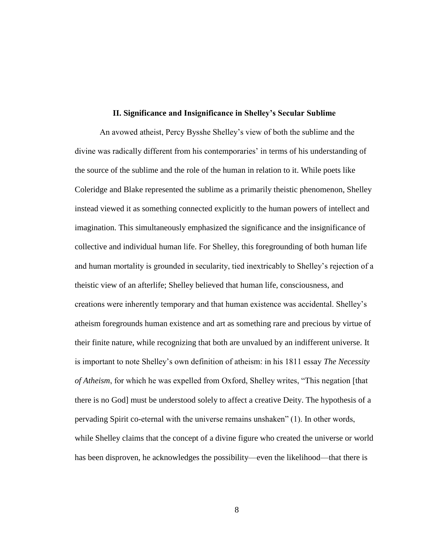#### **II. Significance and Insignificance in Shelley's Secular Sublime**

An avowed atheist, Percy Bysshe Shelley's view of both the sublime and the divine was radically different from his contemporaries' in terms of his understanding of the source of the sublime and the role of the human in relation to it. While poets like Coleridge and Blake represented the sublime as a primarily theistic phenomenon, Shelley instead viewed it as something connected explicitly to the human powers of intellect and imagination. This simultaneously emphasized the significance and the insignificance of collective and individual human life. For Shelley, this foregrounding of both human life and human mortality is grounded in secularity, tied inextricably to Shelley's rejection of a theistic view of an afterlife; Shelley believed that human life, consciousness, and creations were inherently temporary and that human existence was accidental. Shelley's atheism foregrounds human existence and art as something rare and precious by virtue of their finite nature, while recognizing that both are unvalued by an indifferent universe. It is important to note Shelley's own definition of atheism: in his 1811 essay *The Necessity of Atheism*, for which he was expelled from Oxford, Shelley writes, "This negation [that there is no God] must be understood solely to affect a creative Deity. The hypothesis of a pervading Spirit co-eternal with the universe remains unshaken" (1). In other words, while Shelley claims that the concept of a divine figure who created the universe or world has been disproven, he acknowledges the possibility—even the likelihood—that there is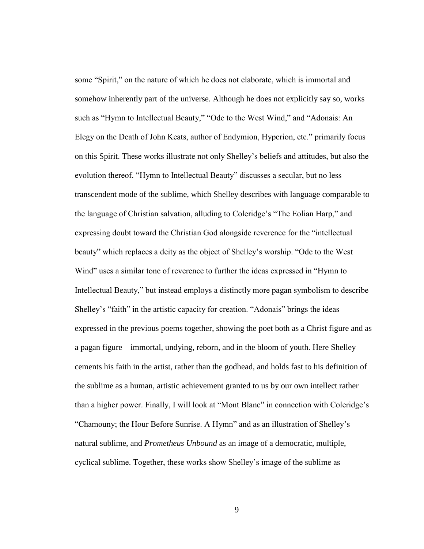some "Spirit," on the nature of which he does not elaborate, which is immortal and somehow inherently part of the universe. Although he does not explicitly say so, works such as "Hymn to Intellectual Beauty," "Ode to the West Wind," and "Adonais: An Elegy on the Death of John Keats, author of Endymion, Hyperion, etc." primarily focus on this Spirit. These works illustrate not only Shelley's beliefs and attitudes, but also the evolution thereof. "Hymn to Intellectual Beauty" discusses a secular, but no less transcendent mode of the sublime, which Shelley describes with language comparable to the language of Christian salvation, alluding to Coleridge's "The Eolian Harp," and expressing doubt toward the Christian God alongside reverence for the "intellectual beauty" which replaces a deity as the object of Shelley's worship. "Ode to the West Wind" uses a similar tone of reverence to further the ideas expressed in "Hymn to Intellectual Beauty," but instead employs a distinctly more pagan symbolism to describe Shelley's "faith" in the artistic capacity for creation. "Adonais" brings the ideas expressed in the previous poems together, showing the poet both as a Christ figure and as a pagan figure—immortal, undying, reborn, and in the bloom of youth. Here Shelley cements his faith in the artist, rather than the godhead, and holds fast to his definition of the sublime as a human, artistic achievement granted to us by our own intellect rather than a higher power. Finally, I will look at "Mont Blanc" in connection with Coleridge's "Chamouny; the Hour Before Sunrise. A Hymn" and as an illustration of Shelley's natural sublime, and *Prometheus Unbound* as an image of a democratic, multiple, cyclical sublime. Together, these works show Shelley's image of the sublime as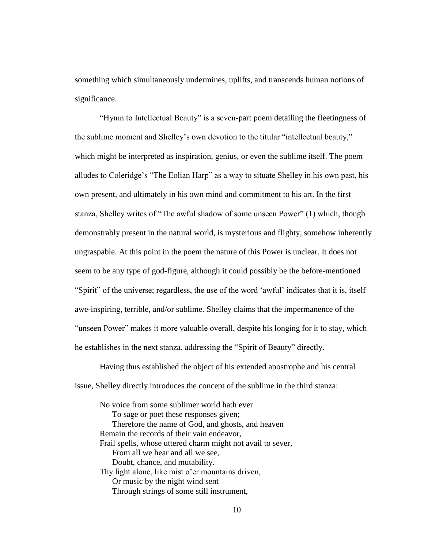something which simultaneously undermines, uplifts, and transcends human notions of significance.

"Hymn to Intellectual Beauty" is a seven-part poem detailing the fleetingness of the sublime moment and Shelley's own devotion to the titular "intellectual beauty," which might be interpreted as inspiration, genius, or even the sublime itself. The poem alludes to Coleridge's "The Eolian Harp" as a way to situate Shelley in his own past, his own present, and ultimately in his own mind and commitment to his art. In the first stanza, Shelley writes of "The awful shadow of some unseen Power" (1) which, though demonstrably present in the natural world, is mysterious and flighty, somehow inherently ungraspable. At this point in the poem the nature of this Power is unclear. It does not seem to be any type of god-figure, although it could possibly be the before-mentioned "Spirit" of the universe; regardless, the use of the word 'awful' indicates that it is, itself awe-inspiring, terrible, and/or sublime. Shelley claims that the impermanence of the "unseen Power" makes it more valuable overall, despite his longing for it to stay, which he establishes in the next stanza, addressing the "Spirit of Beauty" directly.

Having thus established the object of his extended apostrophe and his central issue, Shelley directly introduces the concept of the sublime in the third stanza:

No voice from some sublimer world hath ever To sage or poet these responses given; Therefore the name of God, and ghosts, and heaven Remain the records of their vain endeavor, Frail spells, whose uttered charm might not avail to sever, From all we hear and all we see, Doubt, chance, and mutability. Thy light alone, like mist o'er mountains driven, Or music by the night wind sent Through strings of some still instrument,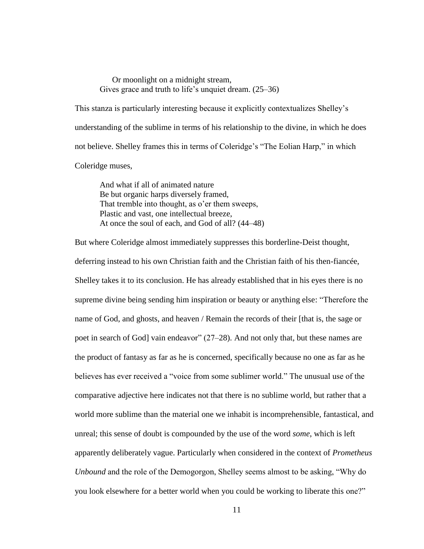Or moonlight on a midnight stream, Gives grace and truth to life's unquiet dream. (25–36)

This stanza is particularly interesting because it explicitly contextualizes Shelley's understanding of the sublime in terms of his relationship to the divine, in which he does not believe. Shelley frames this in terms of Coleridge's "The Eolian Harp," in which Coleridge muses,

And what if all of animated nature Be but organic harps diversely framed, That tremble into thought, as o'er them sweeps, Plastic and vast, one intellectual breeze, At once the soul of each, and God of all? (44–48)

But where Coleridge almost immediately suppresses this borderline-Deist thought, deferring instead to his own Christian faith and the Christian faith of his then-fiancée, Shelley takes it to its conclusion. He has already established that in his eyes there is no supreme divine being sending him inspiration or beauty or anything else: "Therefore the name of God, and ghosts, and heaven / Remain the records of their [that is, the sage or poet in search of God] vain endeavor" (27–28). And not only that, but these names are the product of fantasy as far as he is concerned, specifically because no one as far as he believes has ever received a "voice from some sublimer world." The unusual use of the comparative adjective here indicates not that there is no sublime world, but rather that a world more sublime than the material one we inhabit is incomprehensible, fantastical, and unreal; this sense of doubt is compounded by the use of the word *some*, which is left apparently deliberately vague. Particularly when considered in the context of *Prometheus Unbound* and the role of the Demogorgon, Shelley seems almost to be asking, "Why do you look elsewhere for a better world when you could be working to liberate this one?"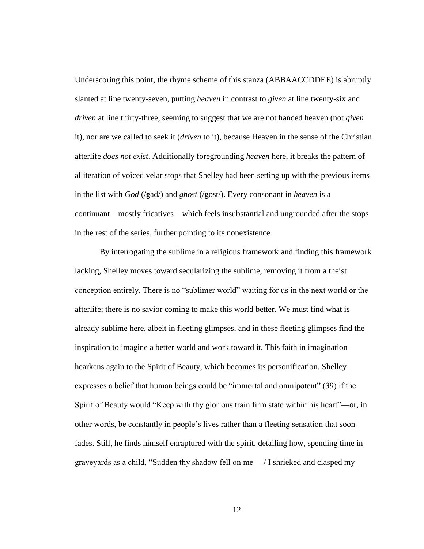Underscoring this point, the rhyme scheme of this stanza (ABBAACCDDEE) is abruptly slanted at line twenty-seven, putting *heaven* in contrast to *given* at line twenty-six and *driven* at line thirty-three, seeming to suggest that we are not handed heaven (not *given*  it), nor are we called to seek it (*driven* to it), because Heaven in the sense of the Christian afterlife *does not exist*. Additionally foregrounding *heaven* here, it breaks the pattern of alliteration of voiced velar stops that Shelley had been setting up with the previous items in the list with *God* (/**g**ad/) and *ghost* (/**g**ost/). Every consonant in *heaven* is a continuant—mostly fricatives—which feels insubstantial and ungrounded after the stops in the rest of the series, further pointing to its nonexistence.

By interrogating the sublime in a religious framework and finding this framework lacking, Shelley moves toward secularizing the sublime, removing it from a theist conception entirely. There is no "sublimer world" waiting for us in the next world or the afterlife; there is no savior coming to make this world better. We must find what is already sublime here, albeit in fleeting glimpses, and in these fleeting glimpses find the inspiration to imagine a better world and work toward it. This faith in imagination hearkens again to the Spirit of Beauty, which becomes its personification. Shelley expresses a belief that human beings could be "immortal and omnipotent" (39) if the Spirit of Beauty would "Keep with thy glorious train firm state within his heart"—or, in other words, be constantly in people's lives rather than a fleeting sensation that soon fades. Still, he finds himself enraptured with the spirit, detailing how, spending time in graveyards as a child, "Sudden thy shadow fell on me— / I shrieked and clasped my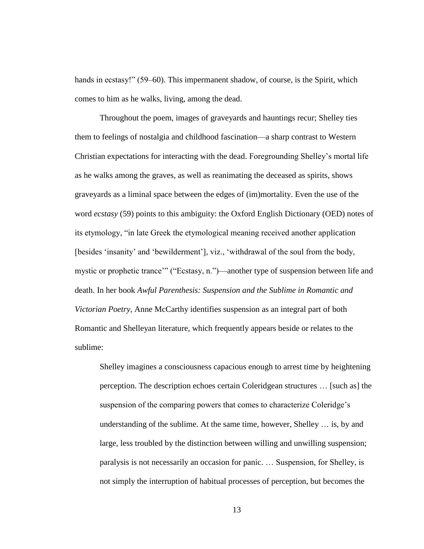hands in ecstasy!" (59–60). This impermanent shadow, of course, is the Spirit, which comes to him as he walks, living, among the dead.

Throughout the poem, images of graveyards and hauntings recur; Shelley ties them to feelings of nostalgia and childhood fascination—a sharp contrast to Western Christian expectations for interacting with the dead. Foregrounding Shelley's mortal life as he walks among the graves, as well as reanimating the deceased as spirits, shows graveyards as a liminal space between the edges of (im)mortality. Even the use of the word *ecstasy* (59) points to this ambiguity: the Oxford English Dictionary (OED) notes of its etymology, "in late Greek the etymological meaning received another application [besides 'insanity' and 'bewilderment'], viz., 'withdrawal of the soul from the body, mystic or prophetic trance'" ("Ecstasy, n.")—another type of suspension between life and death. In her book *Awful Parenthesis: Suspension and the Sublime in Romantic and Victorian Poetry*, Anne McCarthy identifies suspension as an integral part of both Romantic and Shelleyan literature, which frequently appears beside or relates to the sublime:

Shelley imagines a consciousness capacious enough to arrest time by heightening perception. The description echoes certain Coleridgean structures … [such as] the suspension of the comparing powers that comes to characterize Coleridge's understanding of the sublime. At the same time, however, Shelley … is, by and large, less troubled by the distinction between willing and unwilling suspension; paralysis is not necessarily an occasion for panic. … Suspension, for Shelley, is not simply the interruption of habitual processes of perception, but becomes the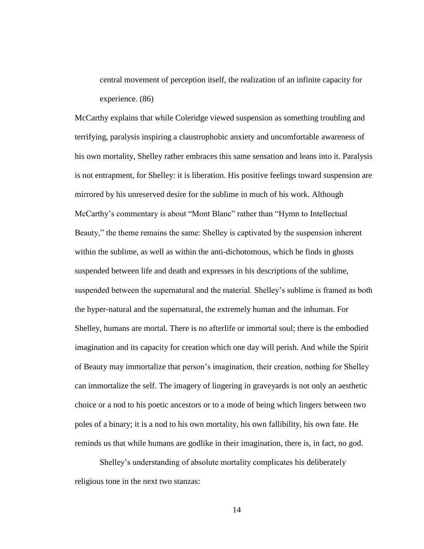central movement of perception itself, the realization of an infinite capacity for experience. (86)

McCarthy explains that while Coleridge viewed suspension as something troubling and terrifying, paralysis inspiring a claustrophobic anxiety and uncomfortable awareness of his own mortality, Shelley rather embraces this same sensation and leans into it. Paralysis is not entrapment, for Shelley: it is liberation. His positive feelings toward suspension are mirrored by his unreserved desire for the sublime in much of his work. Although McCarthy's commentary is about "Mont Blanc" rather than "Hymn to Intellectual Beauty," the theme remains the same: Shelley is captivated by the suspension inherent within the sublime, as well as within the anti-dichotomous, which he finds in ghosts suspended between life and death and expresses in his descriptions of the sublime, suspended between the supernatural and the material. Shelley's sublime is framed as both the hyper-natural and the supernatural, the extremely human and the inhuman. For Shelley, humans are mortal. There is no afterlife or immortal soul; there is the embodied imagination and its capacity for creation which one day will perish. And while the Spirit of Beauty may immortalize that person's imagination, their creation, nothing for Shelley can immortalize the self. The imagery of lingering in graveyards is not only an aesthetic choice or a nod to his poetic ancestors or to a mode of being which lingers between two poles of a binary; it is a nod to his own mortality, his own fallibility, his own fate. He reminds us that while humans are godlike in their imagination, there is, in fact, no god.

Shelley's understanding of absolute mortality complicates his deliberately religious tone in the next two stanzas: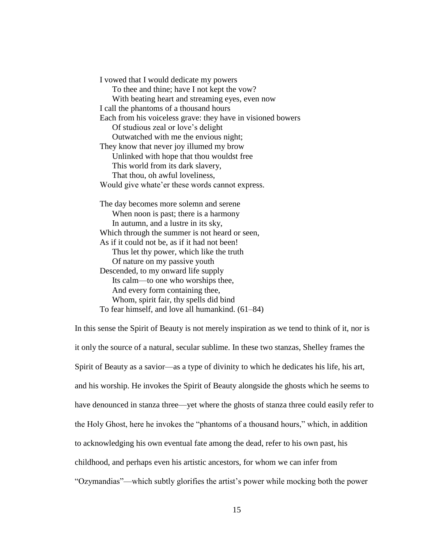I vowed that I would dedicate my powers To thee and thine; have I not kept the vow? With beating heart and streaming eyes, even now I call the phantoms of a thousand hours Each from his voiceless grave: they have in visioned bowers Of studious zeal or love's delight Outwatched with me the envious night; They know that never joy illumed my brow Unlinked with hope that thou wouldst free This world from its dark slavery, That thou, oh awful loveliness, Would give whate'er these words cannot express. The day becomes more solemn and serene When noon is past; there is a harmony In autumn, and a lustre in its sky, Which through the summer is not heard or seen, As if it could not be, as if it had not been! Thus let thy power, which like the truth Of nature on my passive youth Descended, to my onward life supply Its calm—to one who worships thee, And every form containing thee, Whom, spirit fair, thy spells did bind To fear himself, and love all humankind. (61–84)

In this sense the Spirit of Beauty is not merely inspiration as we tend to think of it, nor is it only the source of a natural, secular sublime. In these two stanzas, Shelley frames the Spirit of Beauty as a savior—as a type of divinity to which he dedicates his life, his art, and his worship. He invokes the Spirit of Beauty alongside the ghosts which he seems to have denounced in stanza three—yet where the ghosts of stanza three could easily refer to the Holy Ghost, here he invokes the "phantoms of a thousand hours," which, in addition to acknowledging his own eventual fate among the dead, refer to his own past, his childhood, and perhaps even his artistic ancestors, for whom we can infer from "Ozymandias"—which subtly glorifies the artist's power while mocking both the power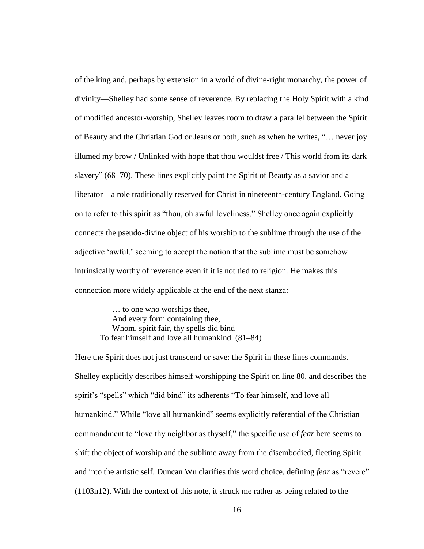of the king and, perhaps by extension in a world of divine-right monarchy, the power of divinity—Shelley had some sense of reverence. By replacing the Holy Spirit with a kind of modified ancestor-worship, Shelley leaves room to draw a parallel between the Spirit of Beauty and the Christian God or Jesus or both, such as when he writes, "… never joy illumed my brow / Unlinked with hope that thou wouldst free / This world from its dark slavery" (68–70). These lines explicitly paint the Spirit of Beauty as a savior and a liberator—a role traditionally reserved for Christ in nineteenth-century England. Going on to refer to this spirit as "thou, oh awful loveliness," Shelley once again explicitly connects the pseudo-divine object of his worship to the sublime through the use of the adjective 'awful,' seeming to accept the notion that the sublime must be somehow intrinsically worthy of reverence even if it is not tied to religion. He makes this connection more widely applicable at the end of the next stanza:

… to one who worships thee, And every form containing thee, Whom, spirit fair, thy spells did bind To fear himself and love all humankind. (81–84)

Here the Spirit does not just transcend or save: the Spirit in these lines commands. Shelley explicitly describes himself worshipping the Spirit on line 80, and describes the spirit's "spells" which "did bind" its adherents "To fear himself, and love all humankind." While "love all humankind" seems explicitly referential of the Christian commandment to "love thy neighbor as thyself," the specific use of *fear* here seems to shift the object of worship and the sublime away from the disembodied, fleeting Spirit and into the artistic self. Duncan Wu clarifies this word choice, defining *fear* as "revere" (1103n12). With the context of this note, it struck me rather as being related to the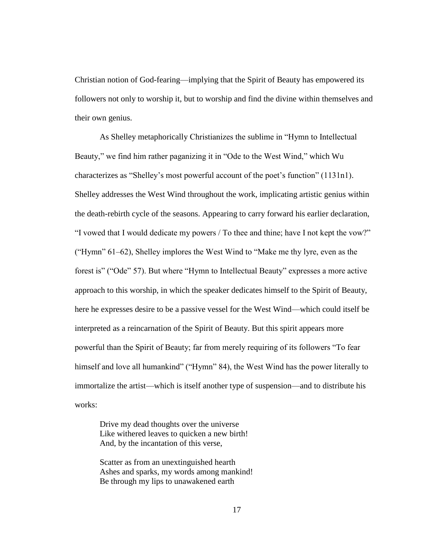Christian notion of God-fearing—implying that the Spirit of Beauty has empowered its followers not only to worship it, but to worship and find the divine within themselves and their own genius.

As Shelley metaphorically Christianizes the sublime in "Hymn to Intellectual Beauty," we find him rather paganizing it in "Ode to the West Wind," which Wu characterizes as "Shelley's most powerful account of the poet's function" (1131n1). Shelley addresses the West Wind throughout the work, implicating artistic genius within the death-rebirth cycle of the seasons. Appearing to carry forward his earlier declaration, "I vowed that I would dedicate my powers / To thee and thine; have I not kept the vow?" ("Hymn" 61–62), Shelley implores the West Wind to "Make me thy lyre, even as the forest is" ("Ode" 57). But where "Hymn to Intellectual Beauty" expresses a more active approach to this worship, in which the speaker dedicates himself to the Spirit of Beauty, here he expresses desire to be a passive vessel for the West Wind—which could itself be interpreted as a reincarnation of the Spirit of Beauty. But this spirit appears more powerful than the Spirit of Beauty; far from merely requiring of its followers "To fear himself and love all humankind" ("Hymn" 84), the West Wind has the power literally to immortalize the artist—which is itself another type of suspension—and to distribute his works:

Drive my dead thoughts over the universe Like withered leaves to quicken a new birth! And, by the incantation of this verse,

Scatter as from an unextinguished hearth Ashes and sparks, my words among mankind! Be through my lips to unawakened earth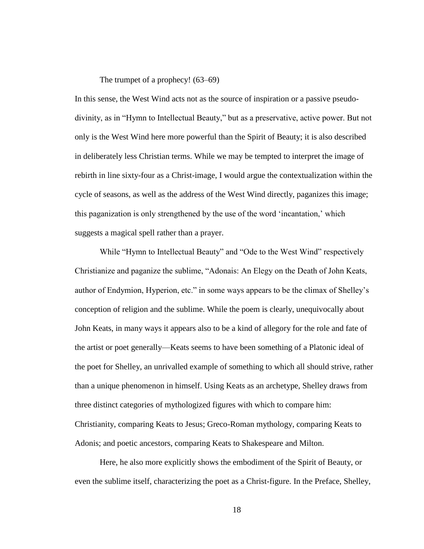The trumpet of a prophecy! (63–69)

In this sense, the West Wind acts not as the source of inspiration or a passive pseudodivinity, as in "Hymn to Intellectual Beauty," but as a preservative, active power. But not only is the West Wind here more powerful than the Spirit of Beauty; it is also described in deliberately less Christian terms. While we may be tempted to interpret the image of rebirth in line sixty-four as a Christ-image, I would argue the contextualization within the cycle of seasons, as well as the address of the West Wind directly, paganizes this image; this paganization is only strengthened by the use of the word 'incantation,' which suggests a magical spell rather than a prayer.

While "Hymn to Intellectual Beauty" and "Ode to the West Wind" respectively Christianize and paganize the sublime, "Adonais: An Elegy on the Death of John Keats, author of Endymion, Hyperion, etc." in some ways appears to be the climax of Shelley's conception of religion and the sublime. While the poem is clearly, unequivocally about John Keats, in many ways it appears also to be a kind of allegory for the role and fate of the artist or poet generally—Keats seems to have been something of a Platonic ideal of the poet for Shelley, an unrivalled example of something to which all should strive, rather than a unique phenomenon in himself. Using Keats as an archetype, Shelley draws from three distinct categories of mythologized figures with which to compare him: Christianity, comparing Keats to Jesus; Greco-Roman mythology, comparing Keats to Adonis; and poetic ancestors, comparing Keats to Shakespeare and Milton.

Here, he also more explicitly shows the embodiment of the Spirit of Beauty, or even the sublime itself, characterizing the poet as a Christ-figure. In the Preface, Shelley,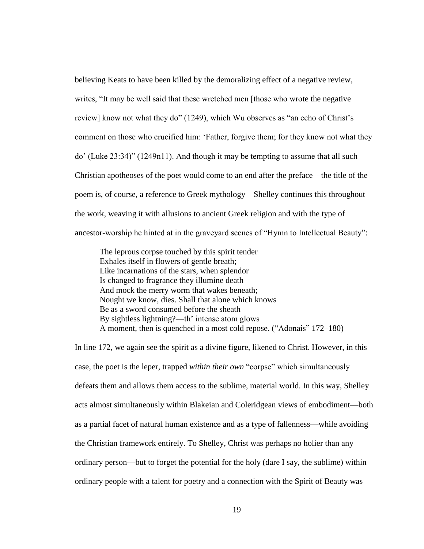believing Keats to have been killed by the demoralizing effect of a negative review, writes, "It may be well said that these wretched men [those who wrote the negative review] know not what they do" (1249), which Wu observes as "an echo of Christ's comment on those who crucified him: 'Father, forgive them; for they know not what they do' (Luke 23:34)" (1249n11). And though it may be tempting to assume that all such Christian apotheoses of the poet would come to an end after the preface—the title of the poem is, of course, a reference to Greek mythology—Shelley continues this throughout the work, weaving it with allusions to ancient Greek religion and with the type of ancestor-worship he hinted at in the graveyard scenes of "Hymn to Intellectual Beauty":

The leprous corpse touched by this spirit tender Exhales itself in flowers of gentle breath; Like incarnations of the stars, when splendor Is changed to fragrance they illumine death And mock the merry worm that wakes beneath; Nought we know, dies. Shall that alone which knows Be as a sword consumed before the sheath By sightless lightning?—th' intense atom glows A moment, then is quenched in a most cold repose. ("Adonais" 172–180)

In line 172, we again see the spirit as a divine figure, likened to Christ. However, in this case, the poet is the leper, trapped *within their own* "corpse" which simultaneously defeats them and allows them access to the sublime, material world. In this way, Shelley acts almost simultaneously within Blakeian and Coleridgean views of embodiment—both as a partial facet of natural human existence and as a type of fallenness—while avoiding the Christian framework entirely. To Shelley, Christ was perhaps no holier than any ordinary person—but to forget the potential for the holy (dare I say, the sublime) within ordinary people with a talent for poetry and a connection with the Spirit of Beauty was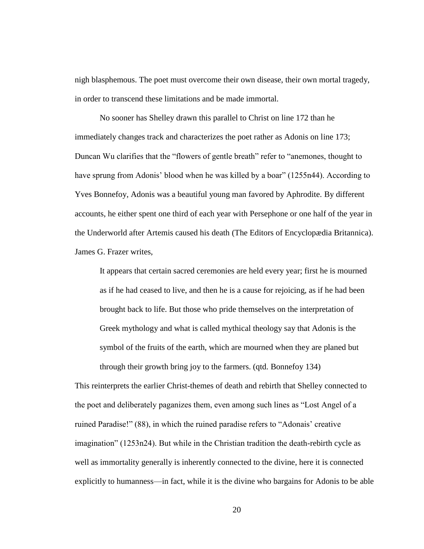nigh blasphemous. The poet must overcome their own disease, their own mortal tragedy, in order to transcend these limitations and be made immortal.

No sooner has Shelley drawn this parallel to Christ on line 172 than he immediately changes track and characterizes the poet rather as Adonis on line 173; Duncan Wu clarifies that the "flowers of gentle breath" refer to "anemones, thought to have sprung from Adonis' blood when he was killed by a boar" (1255n44). According to Yves Bonnefoy, Adonis was a beautiful young man favored by Aphrodite. By different accounts, he either spent one third of each year with Persephone or one half of the year in the Underworld after Artemis caused his death (The Editors of Encyclopædia Britannica). James G. Frazer writes,

It appears that certain sacred ceremonies are held every year; first he is mourned as if he had ceased to live, and then he is a cause for rejoicing, as if he had been brought back to life. But those who pride themselves on the interpretation of Greek mythology and what is called mythical theology say that Adonis is the symbol of the fruits of the earth, which are mourned when they are planed but through their growth bring joy to the farmers. (qtd. Bonnefoy 134)

This reinterprets the earlier Christ-themes of death and rebirth that Shelley connected to the poet and deliberately paganizes them, even among such lines as "Lost Angel of a ruined Paradise!" (88), in which the ruined paradise refers to "Adonais' creative imagination" (1253n24). But while in the Christian tradition the death-rebirth cycle as well as immortality generally is inherently connected to the divine, here it is connected explicitly to humanness—in fact, while it is the divine who bargains for Adonis to be able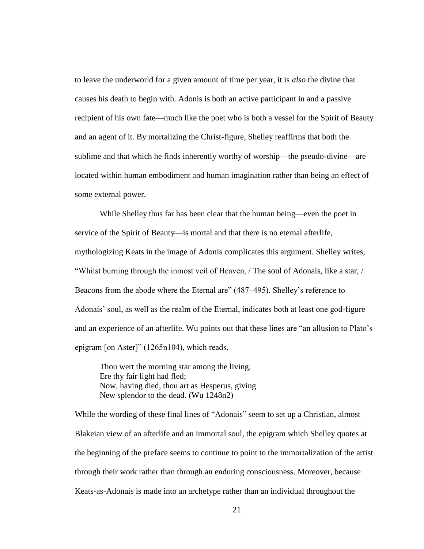to leave the underworld for a given amount of time per year, it is *also* the divine that causes his death to begin with. Adonis is both an active participant in and a passive recipient of his own fate—much like the poet who is both a vessel for the Spirit of Beauty and an agent of it. By mortalizing the Christ-figure, Shelley reaffirms that both the sublime and that which he finds inherently worthy of worship—the pseudo-divine—are located within human embodiment and human imagination rather than being an effect of some external power.

While Shelley thus far has been clear that the human being—even the poet in service of the Spirit of Beauty—is mortal and that there is no eternal afterlife, mythologizing Keats in the image of Adonis complicates this argument. Shelley writes, "Whilst burning through the inmost veil of Heaven, / The soul of Adonais, like a star, / Beacons from the abode where the Eternal are" (487–495). Shelley's reference to Adonais' soul, as well as the realm of the Eternal, indicates both at least one god-figure and an experience of an afterlife. Wu points out that these lines are "an allusion to Plato's epigram [on Aster]" (1265n104), which reads,

Thou wert the morning star among the living, Ere thy fair light had fled; Now, having died, thou art as Hesperus, giving New splendor to the dead. (Wu 1248n2)

While the wording of these final lines of "Adonais" seem to set up a Christian, almost Blakeian view of an afterlife and an immortal soul, the epigram which Shelley quotes at the beginning of the preface seems to continue to point to the immortalization of the artist through their work rather than through an enduring consciousness. Moreover, because Keats-as-Adonais is made into an archetype rather than an individual throughout the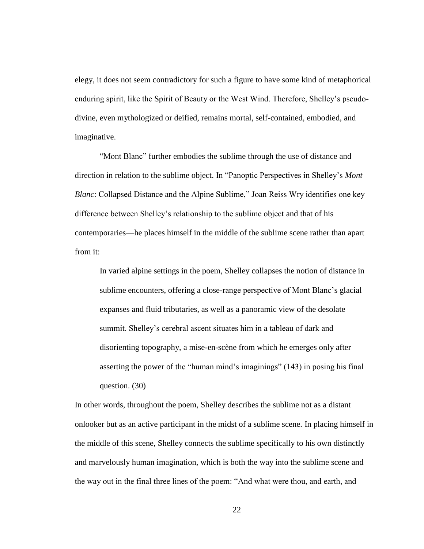elegy, it does not seem contradictory for such a figure to have some kind of metaphorical enduring spirit, like the Spirit of Beauty or the West Wind. Therefore, Shelley's pseudodivine, even mythologized or deified, remains mortal, self-contained, embodied, and imaginative.

"Mont Blanc" further embodies the sublime through the use of distance and direction in relation to the sublime object. In "Panoptic Perspectives in Shelley's *Mont Blanc*: Collapsed Distance and the Alpine Sublime," Joan Reiss Wry identifies one key difference between Shelley's relationship to the sublime object and that of his contemporaries—he places himself in the middle of the sublime scene rather than apart from it:

In varied alpine settings in the poem, Shelley collapses the notion of distance in sublime encounters, offering a close-range perspective of Mont Blanc's glacial expanses and fluid tributaries, as well as a panoramic view of the desolate summit. Shelley's cerebral ascent situates him in a tableau of dark and disorienting topography, a mise-en-scène from which he emerges only after asserting the power of the "human mind's imaginings" (143) in posing his final question. (30)

In other words, throughout the poem, Shelley describes the sublime not as a distant onlooker but as an active participant in the midst of a sublime scene. In placing himself in the middle of this scene, Shelley connects the sublime specifically to his own distinctly and marvelously human imagination, which is both the way into the sublime scene and the way out in the final three lines of the poem: "And what were thou, and earth, and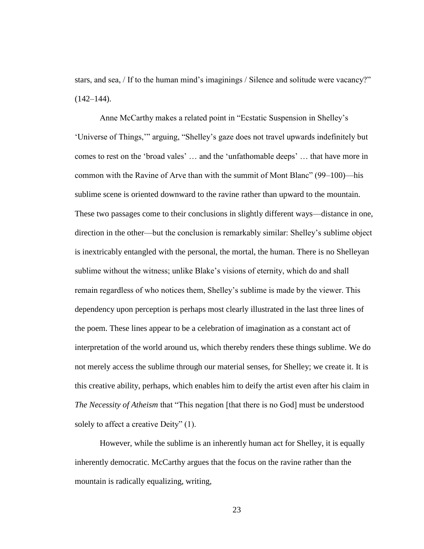stars, and sea, / If to the human mind's imaginings / Silence and solitude were vacancy?"  $(142-144)$ .

Anne McCarthy makes a related point in "Ecstatic Suspension in Shelley's 'Universe of Things,'" arguing, "Shelley's gaze does not travel upwards indefinitely but comes to rest on the 'broad vales' … and the 'unfathomable deeps' … that have more in common with the Ravine of Arve than with the summit of Mont Blanc" (99–100)—his sublime scene is oriented downward to the ravine rather than upward to the mountain. These two passages come to their conclusions in slightly different ways—distance in one, direction in the other—but the conclusion is remarkably similar: Shelley's sublime object is inextricably entangled with the personal, the mortal, the human. There is no Shelleyan sublime without the witness; unlike Blake's visions of eternity, which do and shall remain regardless of who notices them, Shelley's sublime is made by the viewer. This dependency upon perception is perhaps most clearly illustrated in the last three lines of the poem. These lines appear to be a celebration of imagination as a constant act of interpretation of the world around us, which thereby renders these things sublime. We do not merely access the sublime through our material senses, for Shelley; we create it. It is this creative ability, perhaps, which enables him to deify the artist even after his claim in *The Necessity of Atheism* that "This negation [that there is no God] must be understood solely to affect a creative Deity" (1).

However, while the sublime is an inherently human act for Shelley, it is equally inherently democratic. McCarthy argues that the focus on the ravine rather than the mountain is radically equalizing, writing,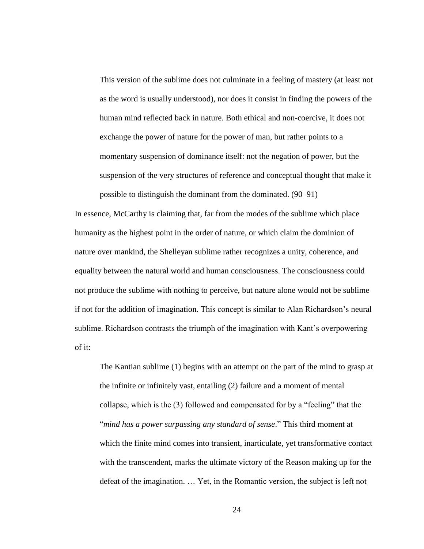This version of the sublime does not culminate in a feeling of mastery (at least not as the word is usually understood), nor does it consist in finding the powers of the human mind reflected back in nature. Both ethical and non-coercive, it does not exchange the power of nature for the power of man, but rather points to a momentary suspension of dominance itself: not the negation of power, but the suspension of the very structures of reference and conceptual thought that make it possible to distinguish the dominant from the dominated. (90–91)

In essence, McCarthy is claiming that, far from the modes of the sublime which place humanity as the highest point in the order of nature, or which claim the dominion of nature over mankind, the Shelleyan sublime rather recognizes a unity, coherence, and equality between the natural world and human consciousness. The consciousness could not produce the sublime with nothing to perceive, but nature alone would not be sublime if not for the addition of imagination. This concept is similar to Alan Richardson's neural sublime. Richardson contrasts the triumph of the imagination with Kant's overpowering of it:

The Kantian sublime (1) begins with an attempt on the part of the mind to grasp at the infinite or infinitely vast, entailing (2) failure and a moment of mental collapse, which is the (3) followed and compensated for by a "feeling" that the "*mind has a power surpassing any standard of sense*." This third moment at which the finite mind comes into transient, inarticulate, yet transformative contact with the transcendent, marks the ultimate victory of the Reason making up for the defeat of the imagination. … Yet, in the Romantic version, the subject is left not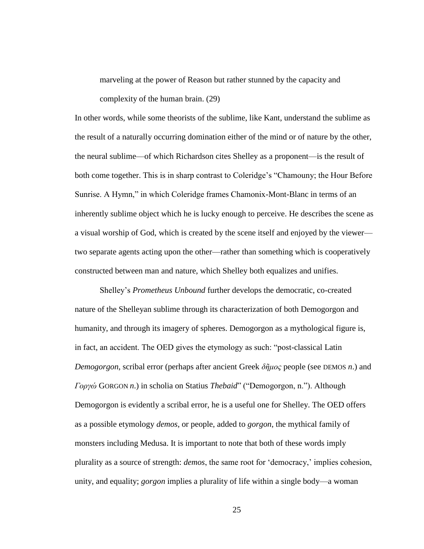marveling at the power of Reason but rather stunned by the capacity and complexity of the human brain. (29)

In other words, while some theorists of the sublime, like Kant, understand the sublime as the result of a naturally occurring domination either of the mind or of nature by the other, the neural sublime—of which Richardson cites Shelley as a proponent—is the result of both come together. This is in sharp contrast to Coleridge's "Chamouny; the Hour Before Sunrise. A Hymn," in which Coleridge frames Chamonix-Mont-Blanc in terms of an inherently sublime object which he is lucky enough to perceive. He describes the scene as a visual worship of God, which is created by the scene itself and enjoyed by the viewer two separate agents acting upon the other—rather than something which is cooperatively constructed between man and nature, which Shelley both equalizes and unifies.

Shelley's *Prometheus Unbound* further develops the democratic, co-created nature of the Shelleyan sublime through its characterization of both Demogorgon and humanity, and through its imagery of spheres. Demogorgon as a mythological figure is, in fact, an accident. The OED gives the etymology as such: "post-classical Latin *Demogorgon*, scribal error (perhaps after ancient Greek *δῆμος* people (see DEMOS *n*.) and *Γοργώ* GORGON *n*.) in scholia on Statius *Thebaid*" ("Demogorgon, n."). Although Demogorgon is evidently a scribal error, he is a useful one for Shelley. The OED offers as a possible etymology *demos*, or people, added to *gorgon*, the mythical family of monsters including Medusa. It is important to note that both of these words imply plurality as a source of strength: *demos*, the same root for 'democracy,' implies cohesion, unity, and equality; *gorgon* implies a plurality of life within a single body—a woman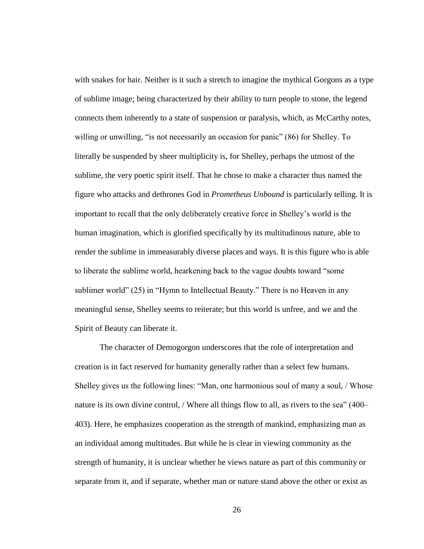with snakes for hair. Neither is it such a stretch to imagine the mythical Gorgons as a type of sublime image; being characterized by their ability to turn people to stone, the legend connects them inherently to a state of suspension or paralysis, which, as McCarthy notes, willing or unwilling, "is not necessarily an occasion for panic" (86) for Shelley. To literally be suspended by sheer multiplicity is, for Shelley, perhaps the utmost of the sublime, the very poetic spirit itself. That he chose to make a character thus named the figure who attacks and dethrones God in *Prometheus Unbound* is particularly telling. It is important to recall that the only deliberately creative force in Shelley's world is the human imagination, which is glorified specifically by its multitudinous nature, able to render the sublime in immeasurably diverse places and ways. It is this figure who is able to liberate the sublime world, hearkening back to the vague doubts toward "some sublimer world" (25) in "Hymn to Intellectual Beauty." There is no Heaven in any meaningful sense, Shelley seems to reiterate; but this world is unfree, and we and the Spirit of Beauty can liberate it.

The character of Demogorgon underscores that the role of interpretation and creation is in fact reserved for humanity generally rather than a select few humans. Shelley gives us the following lines: "Man, one harmonious soul of many a soul, / Whose nature is its own divine control, / Where all things flow to all, as rivers to the sea" (400– 403). Here, he emphasizes cooperation as the strength of mankind, emphasizing man as an individual among multitudes. But while he is clear in viewing community as the strength of humanity, it is unclear whether he views nature as part of this community or separate from it, and if separate, whether man or nature stand above the other or exist as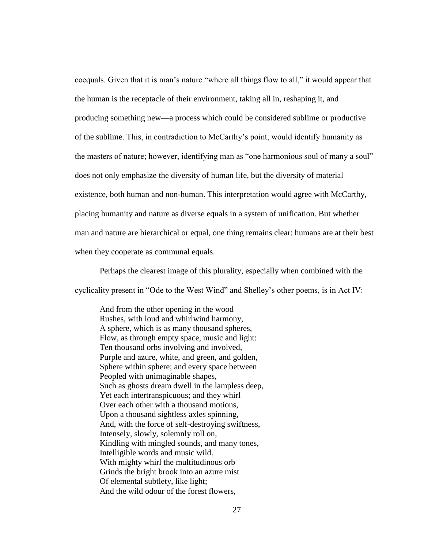coequals. Given that it is man's nature "where all things flow to all," it would appear that the human is the receptacle of their environment, taking all in, reshaping it, and producing something new—a process which could be considered sublime or productive of the sublime. This, in contradiction to McCarthy's point, would identify humanity as the masters of nature; however, identifying man as "one harmonious soul of many a soul" does not only emphasize the diversity of human life, but the diversity of material existence, both human and non-human. This interpretation would agree with McCarthy, placing humanity and nature as diverse equals in a system of unification. But whether man and nature are hierarchical or equal, one thing remains clear: humans are at their best when they cooperate as communal equals.

Perhaps the clearest image of this plurality, especially when combined with the cyclicality present in "Ode to the West Wind" and Shelley's other poems, is in Act IV:

And from the other opening in the wood Rushes, with loud and whirlwind harmony, A sphere, which is as many thousand spheres, Flow, as through empty space, music and light: Ten thousand orbs involving and involved, Purple and azure, white, and green, and golden, Sphere within sphere; and every space between Peopled with unimaginable shapes, Such as ghosts dream dwell in the lampless deep, Yet each intertranspicuous; and they whirl Over each other with a thousand motions, Upon a thousand sightless axles spinning, And, with the force of self-destroying swiftness, Intensely, slowly, solemnly roll on, Kindling with mingled sounds, and many tones, Intelligible words and music wild. With mighty whirl the multitudinous orb Grinds the bright brook into an azure mist Of elemental subtlety, like light; And the wild odour of the forest flowers,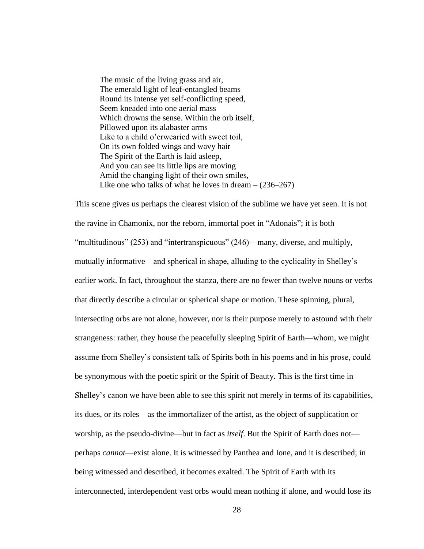The music of the living grass and air, The emerald light of leaf-entangled beams Round its intense yet self-conflicting speed, Seem kneaded into one aerial mass Which drowns the sense. Within the orb itself, Pillowed upon its alabaster arms Like to a child o'erwearied with sweet toil, On its own folded wings and wavy hair The Spirit of the Earth is laid asleep, And you can see its little lips are moving Amid the changing light of their own smiles, Like one who talks of what he loves in dream  $- (236-267)$ 

This scene gives us perhaps the clearest vision of the sublime we have yet seen. It is not the ravine in Chamonix, nor the reborn, immortal poet in "Adonais"; it is both "multitudinous" (253) and "intertranspicuous" (246)—many, diverse, and multiply, mutually informative—and spherical in shape, alluding to the cyclicality in Shelley's earlier work. In fact, throughout the stanza, there are no fewer than twelve nouns or verbs that directly describe a circular or spherical shape or motion. These spinning, plural, intersecting orbs are not alone, however, nor is their purpose merely to astound with their strangeness: rather, they house the peacefully sleeping Spirit of Earth—whom, we might assume from Shelley's consistent talk of Spirits both in his poems and in his prose, could be synonymous with the poetic spirit or the Spirit of Beauty. This is the first time in Shelley's canon we have been able to see this spirit not merely in terms of its capabilities, its dues, or its roles—as the immortalizer of the artist, as the object of supplication or worship, as the pseudo-divine—but in fact as *itself*. But the Spirit of Earth does not perhaps *cannot*—exist alone. It is witnessed by Panthea and Ione, and it is described; in being witnessed and described, it becomes exalted. The Spirit of Earth with its interconnected, interdependent vast orbs would mean nothing if alone, and would lose its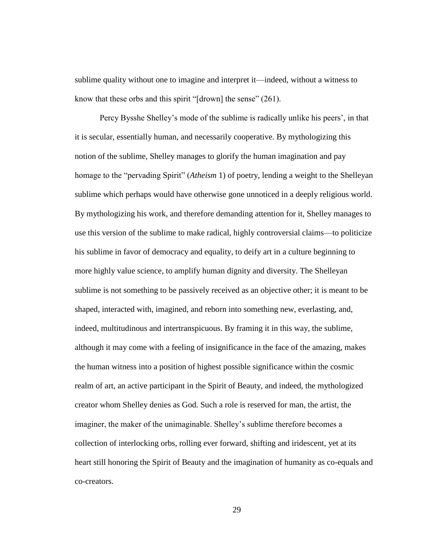sublime quality without one to imagine and interpret it—indeed, without a witness to know that these orbs and this spirit "[drown] the sense" (261).

Percy Bysshe Shelley's mode of the sublime is radically unlike his peers', in that it is secular, essentially human, and necessarily cooperative. By mythologizing this notion of the sublime, Shelley manages to glorify the human imagination and pay homage to the "pervading Spirit" (*Atheism* 1) of poetry, lending a weight to the Shelleyan sublime which perhaps would have otherwise gone unnoticed in a deeply religious world. By mythologizing his work, and therefore demanding attention for it, Shelley manages to use this version of the sublime to make radical, highly controversial claims—to politicize his sublime in favor of democracy and equality, to deify art in a culture beginning to more highly value science, to amplify human dignity and diversity. The Shelleyan sublime is not something to be passively received as an objective other; it is meant to be shaped, interacted with, imagined, and reborn into something new, everlasting, and, indeed, multitudinous and intertranspicuous. By framing it in this way, the sublime, although it may come with a feeling of insignificance in the face of the amazing, makes the human witness into a position of highest possible significance within the cosmic realm of art, an active participant in the Spirit of Beauty, and indeed, the mythologized creator whom Shelley denies as God. Such a role is reserved for man, the artist, the imaginer, the maker of the unimaginable. Shelley's sublime therefore becomes a collection of interlocking orbs, rolling ever forward, shifting and iridescent, yet at its heart still honoring the Spirit of Beauty and the imagination of humanity as co-equals and co-creators.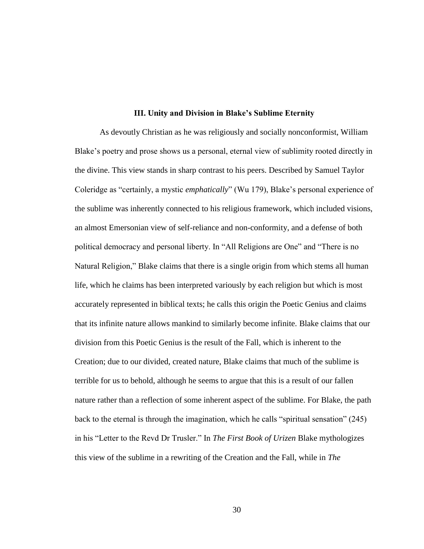#### **III. Unity and Division in Blake's Sublime Eternity**

As devoutly Christian as he was religiously and socially nonconformist, William Blake's poetry and prose shows us a personal, eternal view of sublimity rooted directly in the divine. This view stands in sharp contrast to his peers. Described by Samuel Taylor Coleridge as "certainly, a mystic *emphatically*" (Wu 179), Blake's personal experience of the sublime was inherently connected to his religious framework, which included visions, an almost Emersonian view of self-reliance and non-conformity, and a defense of both political democracy and personal liberty. In "All Religions are One" and "There is no Natural Religion," Blake claims that there is a single origin from which stems all human life, which he claims has been interpreted variously by each religion but which is most accurately represented in biblical texts; he calls this origin the Poetic Genius and claims that its infinite nature allows mankind to similarly become infinite. Blake claims that our division from this Poetic Genius is the result of the Fall, which is inherent to the Creation; due to our divided, created nature, Blake claims that much of the sublime is terrible for us to behold, although he seems to argue that this is a result of our fallen nature rather than a reflection of some inherent aspect of the sublime. For Blake, the path back to the eternal is through the imagination, which he calls "spiritual sensation" (245) in his "Letter to the Revd Dr Trusler." In *The First Book of Urizen* Blake mythologizes this view of the sublime in a rewriting of the Creation and the Fall, while in *The*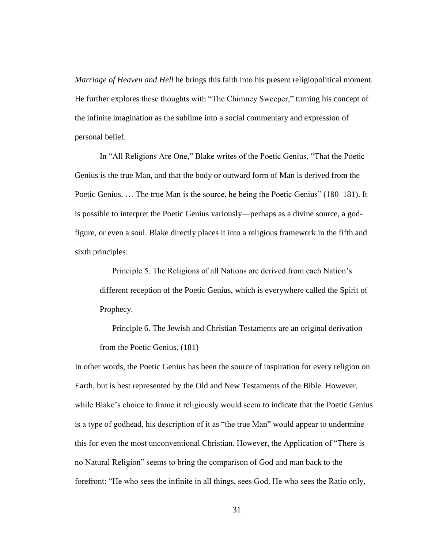*Marriage of Heaven and Hell* he brings this faith into his present religiopolitical moment. He further explores these thoughts with "The Chimney Sweeper," turning his concept of the infinite imagination as the sublime into a social commentary and expression of personal belief.

In "All Religions Are One," Blake writes of the Poetic Genius, "That the Poetic Genius is the true Man, and that the body or outward form of Man is derived from the Poetic Genius. … The true Man is the source, he being the Poetic Genius" (180–181). It is possible to interpret the Poetic Genius variously—perhaps as a divine source, a godfigure, or even a soul. Blake directly places it into a religious framework in the fifth and sixth principles:

Principle 5. The Religions of all Nations are derived from each Nation's different reception of the Poetic Genius, which is everywhere called the Spirit of Prophecy.

Principle 6. The Jewish and Christian Testaments are an original derivation from the Poetic Genius. (181)

In other words, the Poetic Genius has been the source of inspiration for every religion on Earth, but is best represented by the Old and New Testaments of the Bible. However, while Blake's choice to frame it religiously would seem to indicate that the Poetic Genius is a type of godhead, his description of it as "the true Man" would appear to undermine this for even the most unconventional Christian. However, the Application of "There is no Natural Religion" seems to bring the comparison of God and man back to the forefront: "He who sees the infinite in all things, sees God. He who sees the Ratio only,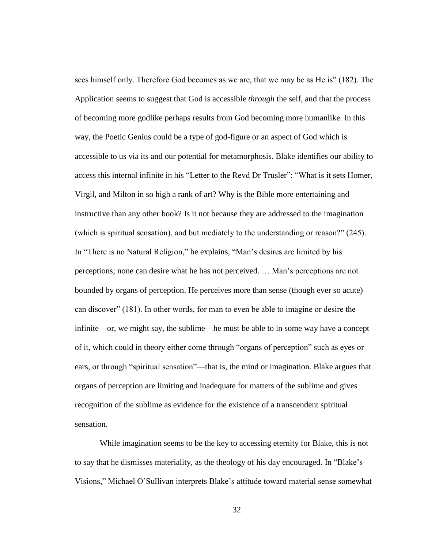sees himself only. Therefore God becomes as we are, that we may be as He is" (182). The Application seems to suggest that God is accessible *through* the self, and that the process of becoming more godlike perhaps results from God becoming more humanlike. In this way, the Poetic Genius could be a type of god-figure or an aspect of God which is accessible to us via its and our potential for metamorphosis. Blake identifies our ability to access this internal infinite in his "Letter to the Revd Dr Trusler": "What is it sets Homer, Virgil, and Milton in so high a rank of art? Why is the Bible more entertaining and instructive than any other book? Is it not because they are addressed to the imagination (which is spiritual sensation), and but mediately to the understanding or reason?" (245). In "There is no Natural Religion," he explains, "Man's desires are limited by his perceptions; none can desire what he has not perceived. … Man's perceptions are not bounded by organs of perception. He perceives more than sense (though ever so acute) can discover" (181). In other words, for man to even be able to imagine or desire the infinite—or, we might say, the sublime—he must be able to in some way have a concept of it, which could in theory either come through "organs of perception" such as eyes or ears, or through "spiritual sensation"—that is, the mind or imagination. Blake argues that organs of perception are limiting and inadequate for matters of the sublime and gives recognition of the sublime as evidence for the existence of a transcendent spiritual sensation.

While imagination seems to be the key to accessing eternity for Blake, this is not to say that he dismisses materiality, as the theology of his day encouraged. In "Blake's Visions," Michael O'Sullivan interprets Blake's attitude toward material sense somewhat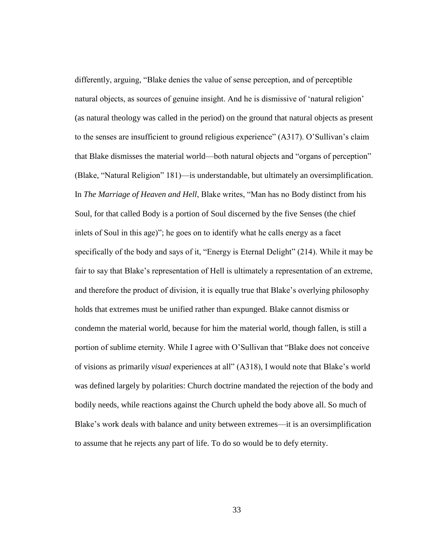differently, arguing, "Blake denies the value of sense perception, and of perceptible natural objects, as sources of genuine insight. And he is dismissive of 'natural religion' (as natural theology was called in the period) on the ground that natural objects as present to the senses are insufficient to ground religious experience" (A317). O'Sullivan's claim that Blake dismisses the material world—both natural objects and "organs of perception" (Blake, "Natural Religion" 181)—is understandable, but ultimately an oversimplification. In *The Marriage of Heaven and Hell*, Blake writes, "Man has no Body distinct from his Soul, for that called Body is a portion of Soul discerned by the five Senses (the chief inlets of Soul in this age)"; he goes on to identify what he calls energy as a facet specifically of the body and says of it, "Energy is Eternal Delight" (214). While it may be fair to say that Blake's representation of Hell is ultimately a representation of an extreme, and therefore the product of division, it is equally true that Blake's overlying philosophy holds that extremes must be unified rather than expunged. Blake cannot dismiss or condemn the material world, because for him the material world, though fallen, is still a portion of sublime eternity. While I agree with O'Sullivan that "Blake does not conceive of visions as primarily *visual* experiences at all" (A318), I would note that Blake's world was defined largely by polarities: Church doctrine mandated the rejection of the body and bodily needs, while reactions against the Church upheld the body above all. So much of Blake's work deals with balance and unity between extremes—it is an oversimplification to assume that he rejects any part of life. To do so would be to defy eternity.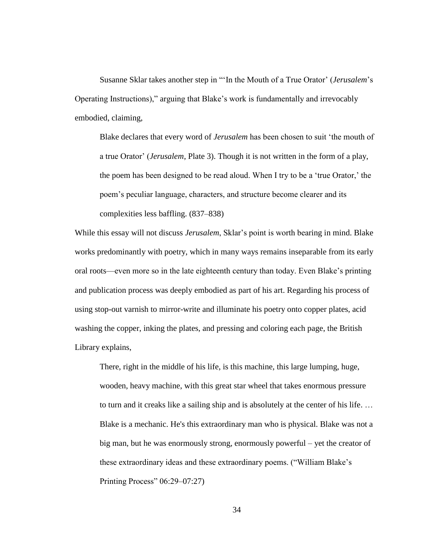Susanne Sklar takes another step in "'In the Mouth of a True Orator' (*Jerusalem*'s Operating Instructions)," arguing that Blake's work is fundamentally and irrevocably embodied, claiming,

Blake declares that every word of *Jerusalem* has been chosen to suit 'the mouth of a true Orator' (*Jerusalem*, Plate 3). Though it is not written in the form of a play, the poem has been designed to be read aloud. When I try to be a 'true Orator,' the poem's peculiar language, characters, and structure become clearer and its complexities less baffling. (837–838)

While this essay will not discuss *Jerusalem*, Sklar's point is worth bearing in mind. Blake works predominantly with poetry, which in many ways remains inseparable from its early oral roots—even more so in the late eighteenth century than today. Even Blake's printing and publication process was deeply embodied as part of his art. Regarding his process of using stop-out varnish to mirror-write and illuminate his poetry onto copper plates, acid washing the copper, inking the plates, and pressing and coloring each page, the British Library explains,

There, right in the middle of his life, is this machine, this large lumping, huge, wooden, heavy machine, with this great star wheel that takes enormous pressure to turn and it creaks like a sailing ship and is absolutely at the center of his life. … Blake is a mechanic. He's this extraordinary man who is physical. Blake was not a big man, but he was enormously strong, enormously powerful – yet the creator of these extraordinary ideas and these extraordinary poems. ("William Blake's Printing Process" 06:29–07:27)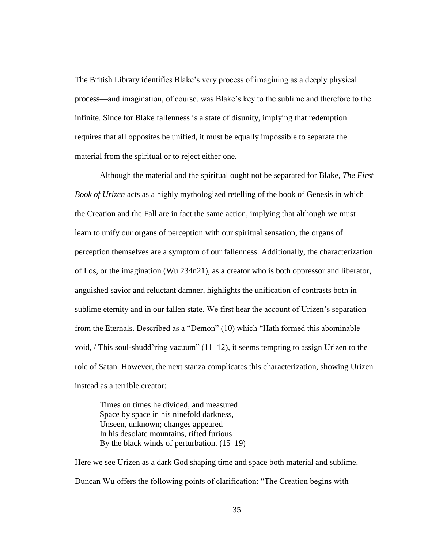The British Library identifies Blake's very process of imagining as a deeply physical process—and imagination, of course, was Blake's key to the sublime and therefore to the infinite. Since for Blake fallenness is a state of disunity, implying that redemption requires that all opposites be unified, it must be equally impossible to separate the material from the spiritual or to reject either one.

Although the material and the spiritual ought not be separated for Blake, *The First Book of Urizen* acts as a highly mythologized retelling of the book of Genesis in which the Creation and the Fall are in fact the same action, implying that although we must learn to unify our organs of perception with our spiritual sensation, the organs of perception themselves are a symptom of our fallenness. Additionally, the characterization of Los, or the imagination (Wu 234n21), as a creator who is both oppressor and liberator, anguished savior and reluctant damner, highlights the unification of contrasts both in sublime eternity and in our fallen state. We first hear the account of Urizen's separation from the Eternals. Described as a "Demon" (10) which "Hath formed this abominable void, / This soul-shudd'ring vacuum"  $(11-12)$ , it seems tempting to assign Urizen to the role of Satan. However, the next stanza complicates this characterization, showing Urizen instead as a terrible creator:

Times on times he divided, and measured Space by space in his ninefold darkness, Unseen, unknown; changes appeared In his desolate mountains, rifted furious By the black winds of perturbation. (15–19)

Here we see Urizen as a dark God shaping time and space both material and sublime. Duncan Wu offers the following points of clarification: "The Creation begins with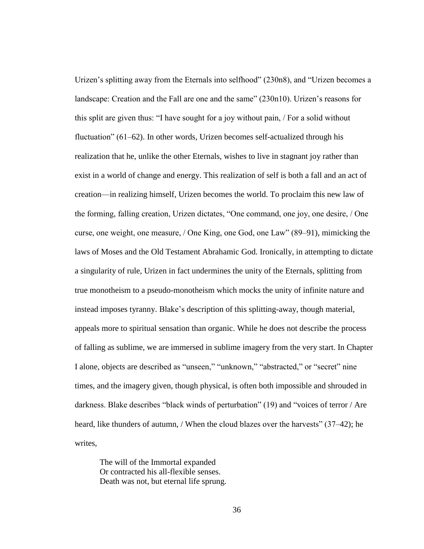Urizen's splitting away from the Eternals into selfhood" (230n8), and "Urizen becomes a landscape: Creation and the Fall are one and the same" (230n10). Urizen's reasons for this split are given thus: "I have sought for a joy without pain, / For a solid without fluctuation" (61–62). In other words, Urizen becomes self-actualized through his realization that he, unlike the other Eternals, wishes to live in stagnant joy rather than exist in a world of change and energy. This realization of self is both a fall and an act of creation—in realizing himself, Urizen becomes the world. To proclaim this new law of the forming, falling creation, Urizen dictates, "One command, one joy, one desire, / One curse, one weight, one measure, / One King, one God, one Law" (89–91), mimicking the laws of Moses and the Old Testament Abrahamic God. Ironically, in attempting to dictate a singularity of rule, Urizen in fact undermines the unity of the Eternals, splitting from true monotheism to a pseudo-monotheism which mocks the unity of infinite nature and instead imposes tyranny. Blake's description of this splitting-away, though material, appeals more to spiritual sensation than organic. While he does not describe the process of falling as sublime, we are immersed in sublime imagery from the very start. In Chapter I alone, objects are described as "unseen," "unknown," "abstracted," or "secret" nine times, and the imagery given, though physical, is often both impossible and shrouded in darkness. Blake describes "black winds of perturbation" (19) and "voices of terror / Are heard, like thunders of autumn, / When the cloud blazes over the harvests" (37–42); he writes,

The will of the Immortal expanded Or contracted his all-flexible senses. Death was not, but eternal life sprung.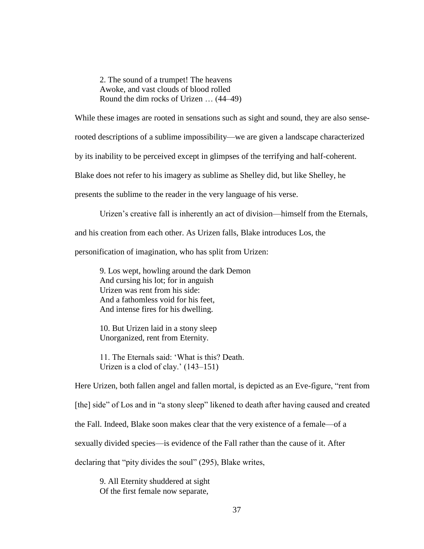2. The sound of a trumpet! The heavens Awoke, and vast clouds of blood rolled Round the dim rocks of Urizen … (44–49)

While these images are rooted in sensations such as sight and sound, they are also sense-

rooted descriptions of a sublime impossibility—we are given a landscape characterized

by its inability to be perceived except in glimpses of the terrifying and half-coherent.

Blake does not refer to his imagery as sublime as Shelley did, but like Shelley, he

presents the sublime to the reader in the very language of his verse.

Urizen's creative fall is inherently an act of division—himself from the Eternals,

and his creation from each other. As Urizen falls, Blake introduces Los, the

personification of imagination, who has split from Urizen:

9. Los wept, howling around the dark Demon And cursing his lot; for in anguish Urizen was rent from his side: And a fathomless void for his feet, And intense fires for his dwelling.

10. But Urizen laid in a stony sleep Unorganized, rent from Eternity.

11. The Eternals said: 'What is this? Death. Urizen is a clod of clay.' (143–151)

Here Urizen, both fallen angel and fallen mortal, is depicted as an Eve-figure, "rent from [the] side" of Los and in "a stony sleep" likened to death after having caused and created the Fall. Indeed, Blake soon makes clear that the very existence of a female—of a sexually divided species—is evidence of the Fall rather than the cause of it. After declaring that "pity divides the soul" (295), Blake writes,

9. All Eternity shuddered at sight Of the first female now separate,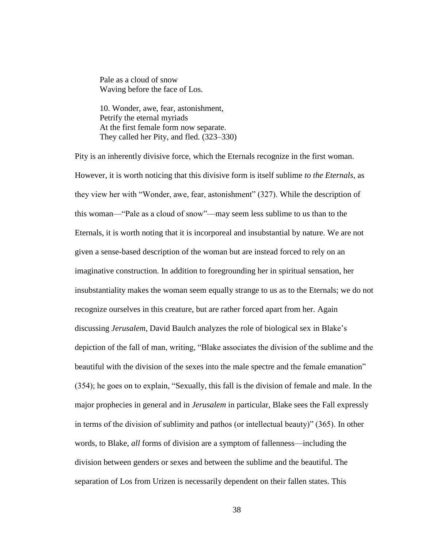Pale as a cloud of snow Waving before the face of Los.

10. Wonder, awe, fear, astonishment, Petrify the eternal myriads At the first female form now separate. They called her Pity, and fled. (323–330)

Pity is an inherently divisive force, which the Eternals recognize in the first woman. However, it is worth noticing that this divisive form is itself sublime *to the Eternals*, as they view her with "Wonder, awe, fear, astonishment" (327). While the description of this woman—"Pale as a cloud of snow"—may seem less sublime to us than to the Eternals, it is worth noting that it is incorporeal and insubstantial by nature. We are not given a sense-based description of the woman but are instead forced to rely on an imaginative construction. In addition to foregrounding her in spiritual sensation, her insubstantiality makes the woman seem equally strange to us as to the Eternals; we do not recognize ourselves in this creature, but are rather forced apart from her. Again discussing *Jerusalem*, David Baulch analyzes the role of biological sex in Blake's depiction of the fall of man, writing, "Blake associates the division of the sublime and the beautiful with the division of the sexes into the male spectre and the female emanation" (354); he goes on to explain, "Sexually, this fall is the division of female and male. In the major prophecies in general and in *Jerusalem* in particular, Blake sees the Fall expressly in terms of the division of sublimity and pathos (or intellectual beauty)" (365). In other words, to Blake, *all* forms of division are a symptom of fallenness—including the division between genders or sexes and between the sublime and the beautiful. The separation of Los from Urizen is necessarily dependent on their fallen states. This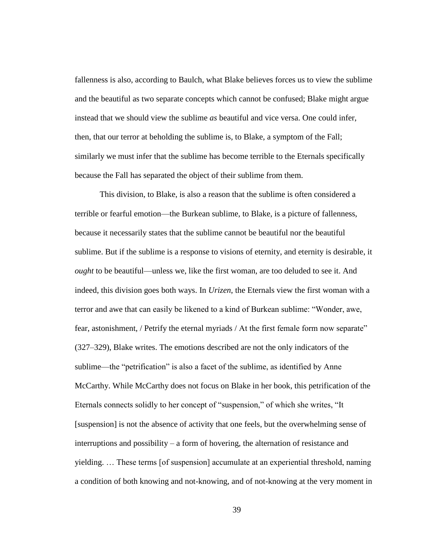fallenness is also, according to Baulch, what Blake believes forces us to view the sublime and the beautiful as two separate concepts which cannot be confused; Blake might argue instead that we should view the sublime *as* beautiful and vice versa. One could infer, then, that our terror at beholding the sublime is, to Blake, a symptom of the Fall; similarly we must infer that the sublime has become terrible to the Eternals specifically because the Fall has separated the object of their sublime from them.

This division, to Blake, is also a reason that the sublime is often considered a terrible or fearful emotion—the Burkean sublime, to Blake, is a picture of fallenness, because it necessarily states that the sublime cannot be beautiful nor the beautiful sublime. But if the sublime is a response to visions of eternity, and eternity is desirable, it *ought* to be beautiful—unless we, like the first woman, are too deluded to see it. And indeed, this division goes both ways. In *Urizen*, the Eternals view the first woman with a terror and awe that can easily be likened to a kind of Burkean sublime: "Wonder, awe, fear, astonishment, / Petrify the eternal myriads / At the first female form now separate" (327–329), Blake writes. The emotions described are not the only indicators of the sublime—the "petrification" is also a facet of the sublime, as identified by Anne McCarthy. While McCarthy does not focus on Blake in her book, this petrification of the Eternals connects solidly to her concept of "suspension," of which she writes, "It [suspension] is not the absence of activity that one feels, but the overwhelming sense of interruptions and possibility – a form of hovering, the alternation of resistance and yielding. … These terms [of suspension] accumulate at an experiential threshold, naming a condition of both knowing and not-knowing, and of not-knowing at the very moment in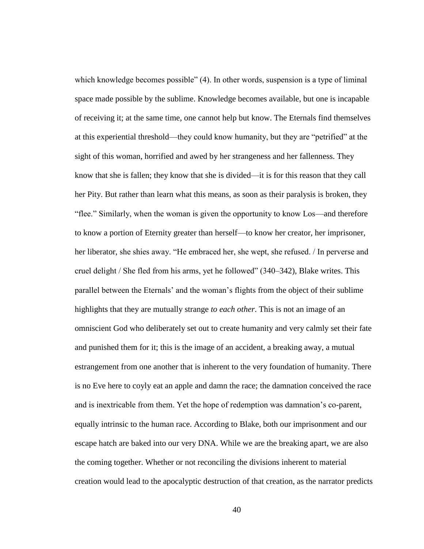which knowledge becomes possible" (4). In other words, suspension is a type of liminal space made possible by the sublime. Knowledge becomes available, but one is incapable of receiving it; at the same time, one cannot help but know. The Eternals find themselves at this experiential threshold—they could know humanity, but they are "petrified" at the sight of this woman, horrified and awed by her strangeness and her fallenness. They know that she is fallen; they know that she is divided—it is for this reason that they call her Pity. But rather than learn what this means, as soon as their paralysis is broken, they "flee." Similarly, when the woman is given the opportunity to know Los—and therefore to know a portion of Eternity greater than herself—to know her creator, her imprisoner, her liberator, she shies away. "He embraced her, she wept, she refused. / In perverse and cruel delight / She fled from his arms, yet he followed" (340–342), Blake writes. This parallel between the Eternals' and the woman's flights from the object of their sublime highlights that they are mutually strange *to each other*. This is not an image of an omniscient God who deliberately set out to create humanity and very calmly set their fate and punished them for it; this is the image of an accident, a breaking away, a mutual estrangement from one another that is inherent to the very foundation of humanity. There is no Eve here to coyly eat an apple and damn the race; the damnation conceived the race and is inextricable from them. Yet the hope of redemption was damnation's co-parent, equally intrinsic to the human race. According to Blake, both our imprisonment and our escape hatch are baked into our very DNA. While we are the breaking apart, we are also the coming together. Whether or not reconciling the divisions inherent to material creation would lead to the apocalyptic destruction of that creation, as the narrator predicts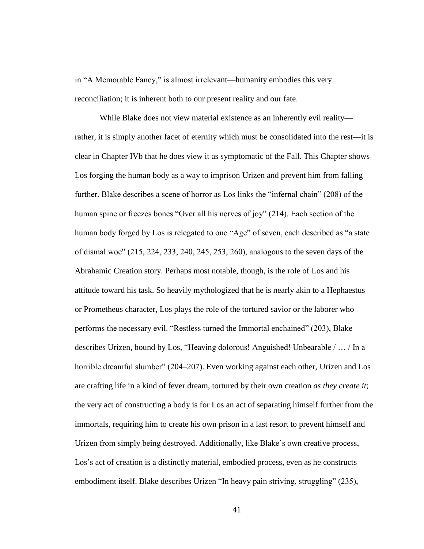in "A Memorable Fancy," is almost irrelevant—humanity embodies this very reconciliation; it is inherent both to our present reality and our fate.

While Blake does not view material existence as an inherently evil reality rather, it is simply another facet of eternity which must be consolidated into the rest—it is clear in Chapter IVb that he does view it as symptomatic of the Fall. This Chapter shows Los forging the human body as a way to imprison Urizen and prevent him from falling further. Blake describes a scene of horror as Los links the "infernal chain" (208) of the human spine or freezes bones "Over all his nerves of joy" (214). Each section of the human body forged by Los is relegated to one "Age" of seven, each described as "a state of dismal woe" (215, 224, 233, 240, 245, 253, 260), analogous to the seven days of the Abrahamic Creation story. Perhaps most notable, though, is the role of Los and his attitude toward his task. So heavily mythologized that he is nearly akin to a Hephaestus or Prometheus character, Los plays the role of the tortured savior or the laborer who performs the necessary evil. "Restless turned the Immortal enchained" (203), Blake describes Urizen, bound by Los, "Heaving dolorous! Anguished! Unbearable / … / In a horrible dreamful slumber" (204–207). Even working against each other, Urizen and Los are crafting life in a kind of fever dream, tortured by their own creation *as they create it*; the very act of constructing a body is for Los an act of separating himself further from the immortals, requiring him to create his own prison in a last resort to prevent himself and Urizen from simply being destroyed. Additionally, like Blake's own creative process, Los's act of creation is a distinctly material, embodied process, even as he constructs embodiment itself. Blake describes Urizen "In heavy pain striving, struggling" (235),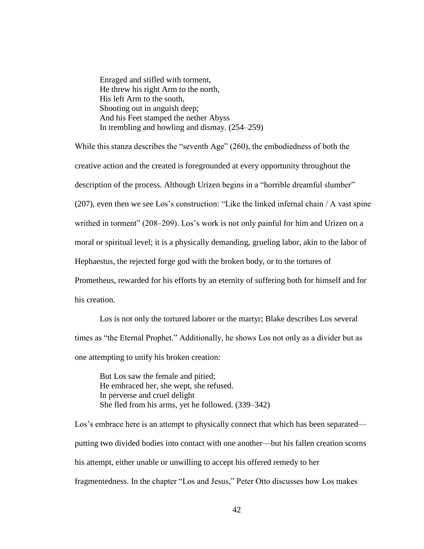Enraged and stifled with torment, He threw his right Arm to the north, His left Arm to the south, Shooting out in anguish deep; And his Feet stamped the nether Abyss In trembling and howling and dismay. (254–259)

While this stanza describes the "seventh Age" (260), the embodiedness of both the creative action and the created is foregrounded at every opportunity throughout the description of the process. Although Urizen begins in a "horrible dreamful slumber" (207), even then we see Los's construction: "Like the linked infernal chain / A vast spine writhed in torment" (208–209). Los's work is not only painful for him and Urizen on a moral or spiritual level; it is a physically demanding, grueling labor, akin to the labor of Hephaestus, the rejected forge god with the broken body, or to the tortures of Prometheus, rewarded for his efforts by an eternity of suffering both for himself and for his creation.

Los is not only the tortured laborer or the martyr; Blake describes Los several times as "the Eternal Prophet." Additionally, he shows Los not only as a divider but as one attempting to unify his broken creation:

But Los saw the female and pitied; He embraced her, she wept, she refused. In perverse and cruel delight She fled from his arms, yet he followed. (339–342)

Los's embrace here is an attempt to physically connect that which has been separated putting two divided bodies into contact with one another—but his fallen creation scorns his attempt, either unable or unwilling to accept his offered remedy to her fragmentedness. In the chapter "Los and Jesus," Peter Otto discusses how Los makes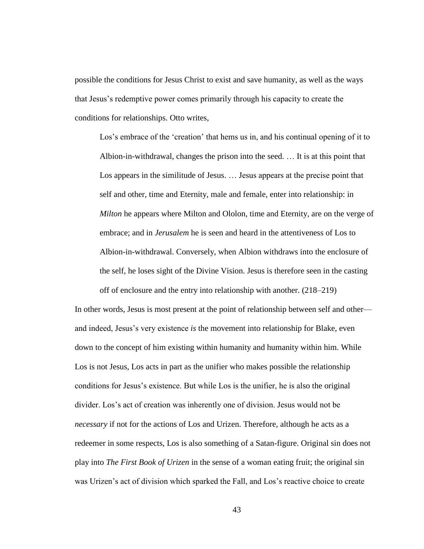possible the conditions for Jesus Christ to exist and save humanity, as well as the ways that Jesus's redemptive power comes primarily through his capacity to create the conditions for relationships. Otto writes,

Los's embrace of the 'creation' that hems us in, and his continual opening of it to Albion-in-withdrawal, changes the prison into the seed. … It is at this point that Los appears in the similitude of Jesus. … Jesus appears at the precise point that self and other, time and Eternity, male and female, enter into relationship: in *Milton* he appears where Milton and Ololon, time and Eternity, are on the verge of embrace; and in *Jerusalem* he is seen and heard in the attentiveness of Los to Albion-in-withdrawal. Conversely, when Albion withdraws into the enclosure of the self, he loses sight of the Divine Vision. Jesus is therefore seen in the casting

In other words, Jesus is most present at the point of relationship between self and other and indeed, Jesus's very existence *is* the movement into relationship for Blake, even down to the concept of him existing within humanity and humanity within him. While Los is not Jesus, Los acts in part as the unifier who makes possible the relationship conditions for Jesus's existence. But while Los is the unifier, he is also the original divider. Los's act of creation was inherently one of division. Jesus would not be *necessary* if not for the actions of Los and Urizen. Therefore, although he acts as a redeemer in some respects, Los is also something of a Satan-figure. Original sin does not play into *The First Book of Urizen* in the sense of a woman eating fruit; the original sin was Urizen's act of division which sparked the Fall, and Los's reactive choice to create

off of enclosure and the entry into relationship with another. (218–219)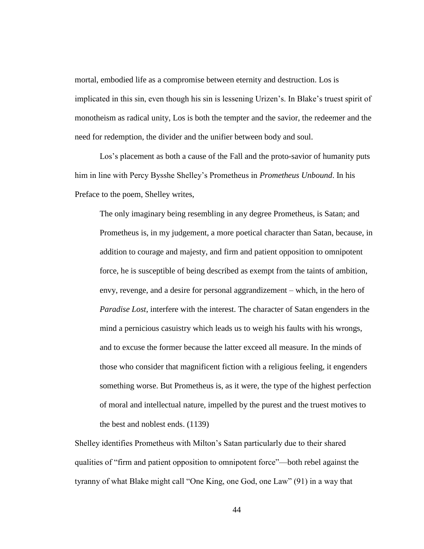mortal, embodied life as a compromise between eternity and destruction. Los is implicated in this sin, even though his sin is lessening Urizen's. In Blake's truest spirit of monotheism as radical unity, Los is both the tempter and the savior, the redeemer and the need for redemption, the divider and the unifier between body and soul.

Los's placement as both a cause of the Fall and the proto-savior of humanity puts him in line with Percy Bysshe Shelley's Prometheus in *Prometheus Unbound*. In his Preface to the poem, Shelley writes,

The only imaginary being resembling in any degree Prometheus, is Satan; and Prometheus is, in my judgement, a more poetical character than Satan, because, in addition to courage and majesty, and firm and patient opposition to omnipotent force, he is susceptible of being described as exempt from the taints of ambition, envy, revenge, and a desire for personal aggrandizement – which, in the hero of *Paradise Lost*, interfere with the interest. The character of Satan engenders in the mind a pernicious casuistry which leads us to weigh his faults with his wrongs, and to excuse the former because the latter exceed all measure. In the minds of those who consider that magnificent fiction with a religious feeling, it engenders something worse. But Prometheus is, as it were, the type of the highest perfection of moral and intellectual nature, impelled by the purest and the truest motives to the best and noblest ends. (1139)

Shelley identifies Prometheus with Milton's Satan particularly due to their shared qualities of "firm and patient opposition to omnipotent force"—both rebel against the tyranny of what Blake might call "One King, one God, one Law" (91) in a way that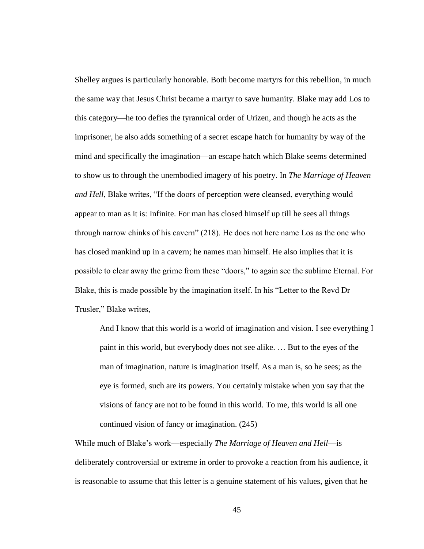Shelley argues is particularly honorable. Both become martyrs for this rebellion, in much the same way that Jesus Christ became a martyr to save humanity. Blake may add Los to this category—he too defies the tyrannical order of Urizen, and though he acts as the imprisoner, he also adds something of a secret escape hatch for humanity by way of the mind and specifically the imagination—an escape hatch which Blake seems determined to show us to through the unembodied imagery of his poetry. In *The Marriage of Heaven and Hell*, Blake writes, "If the doors of perception were cleansed, everything would appear to man as it is: Infinite. For man has closed himself up till he sees all things through narrow chinks of his cavern" (218). He does not here name Los as the one who has closed mankind up in a cavern; he names man himself. He also implies that it is possible to clear away the grime from these "doors," to again see the sublime Eternal. For Blake, this is made possible by the imagination itself. In his "Letter to the Revd Dr Trusler," Blake writes,

And I know that this world is a world of imagination and vision. I see everything I paint in this world, but everybody does not see alike. … But to the eyes of the man of imagination, nature is imagination itself. As a man is, so he sees; as the eye is formed, such are its powers. You certainly mistake when you say that the visions of fancy are not to be found in this world. To me, this world is all one continued vision of fancy or imagination. (245)

While much of Blake's work—especially *The Marriage of Heaven and Hell*—is deliberately controversial or extreme in order to provoke a reaction from his audience, it is reasonable to assume that this letter is a genuine statement of his values, given that he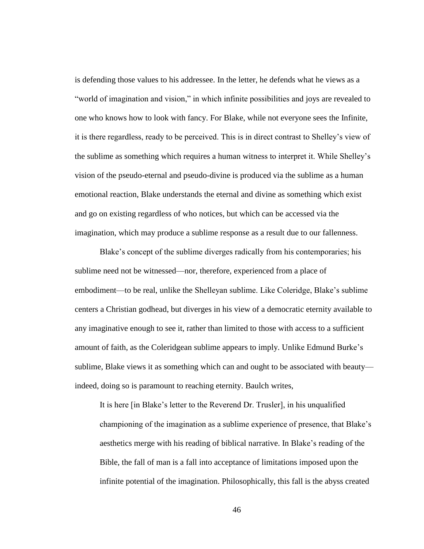is defending those values to his addressee. In the letter, he defends what he views as a "world of imagination and vision," in which infinite possibilities and joys are revealed to one who knows how to look with fancy. For Blake, while not everyone sees the Infinite, it is there regardless, ready to be perceived. This is in direct contrast to Shelley's view of the sublime as something which requires a human witness to interpret it. While Shelley's vision of the pseudo-eternal and pseudo-divine is produced via the sublime as a human emotional reaction, Blake understands the eternal and divine as something which exist and go on existing regardless of who notices, but which can be accessed via the imagination, which may produce a sublime response as a result due to our fallenness.

Blake's concept of the sublime diverges radically from his contemporaries; his sublime need not be witnessed—nor, therefore, experienced from a place of embodiment—to be real, unlike the Shelleyan sublime. Like Coleridge, Blake's sublime centers a Christian godhead, but diverges in his view of a democratic eternity available to any imaginative enough to see it, rather than limited to those with access to a sufficient amount of faith, as the Coleridgean sublime appears to imply. Unlike Edmund Burke's sublime, Blake views it as something which can and ought to be associated with beauty indeed, doing so is paramount to reaching eternity. Baulch writes,

It is here [in Blake's letter to the Reverend Dr. Trusler], in his unqualified championing of the imagination as a sublime experience of presence, that Blake's aesthetics merge with his reading of biblical narrative. In Blake's reading of the Bible, the fall of man is a fall into acceptance of limitations imposed upon the infinite potential of the imagination. Philosophically, this fall is the abyss created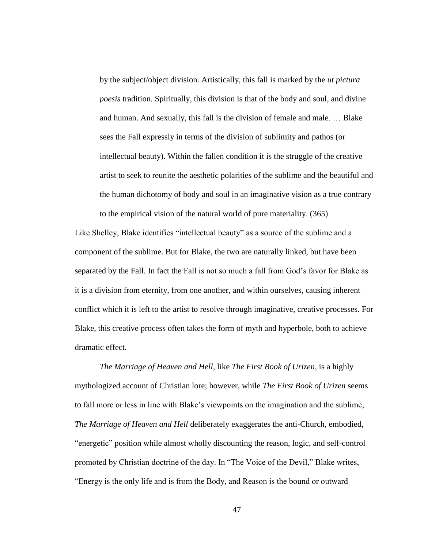by the subject/object division. Artistically, this fall is marked by the *ut pictura poesis* tradition. Spiritually, this division is that of the body and soul, and divine and human. And sexually, this fall is the division of female and male. … Blake sees the Fall expressly in terms of the division of sublimity and pathos (or intellectual beauty). Within the fallen condition it is the struggle of the creative artist to seek to reunite the aesthetic polarities of the sublime and the beautiful and the human dichotomy of body and soul in an imaginative vision as a true contrary to the empirical vision of the natural world of pure materiality. (365)

Like Shelley, Blake identifies "intellectual beauty" as a source of the sublime and a component of the sublime. But for Blake, the two are naturally linked, but have been separated by the Fall. In fact the Fall is not so much a fall from God's favor for Blake as it is a division from eternity, from one another, and within ourselves, causing inherent conflict which it is left to the artist to resolve through imaginative, creative processes. For Blake, this creative process often takes the form of myth and hyperbole, both to achieve dramatic effect.

*The Marriage of Heaven and Hell*, like *The First Book of Urizen*, is a highly mythologized account of Christian lore; however, while *The First Book of Urizen* seems to fall more or less in line with Blake's viewpoints on the imagination and the sublime, *The Marriage of Heaven and Hell* deliberately exaggerates the anti-Church, embodied, "energetic" position while almost wholly discounting the reason, logic, and self-control promoted by Christian doctrine of the day. In "The Voice of the Devil," Blake writes, "Energy is the only life and is from the Body, and Reason is the bound or outward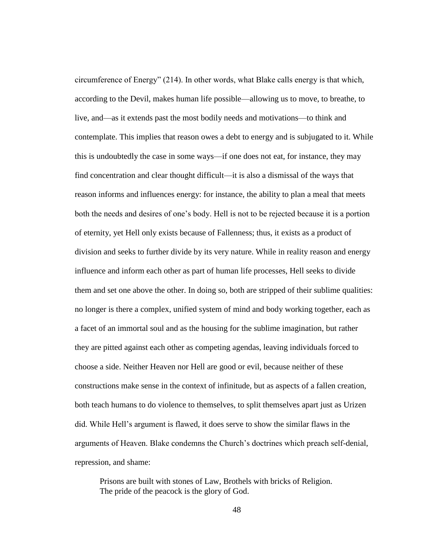circumference of Energy" (214). In other words, what Blake calls energy is that which, according to the Devil, makes human life possible—allowing us to move, to breathe, to live, and—as it extends past the most bodily needs and motivations—to think and contemplate. This implies that reason owes a debt to energy and is subjugated to it. While this is undoubtedly the case in some ways—if one does not eat, for instance, they may find concentration and clear thought difficult—it is also a dismissal of the ways that reason informs and influences energy: for instance, the ability to plan a meal that meets both the needs and desires of one's body. Hell is not to be rejected because it is a portion of eternity, yet Hell only exists because of Fallenness; thus, it exists as a product of division and seeks to further divide by its very nature. While in reality reason and energy influence and inform each other as part of human life processes, Hell seeks to divide them and set one above the other. In doing so, both are stripped of their sublime qualities: no longer is there a complex, unified system of mind and body working together, each as a facet of an immortal soul and as the housing for the sublime imagination, but rather they are pitted against each other as competing agendas, leaving individuals forced to choose a side. Neither Heaven nor Hell are good or evil, because neither of these constructions make sense in the context of infinitude, but as aspects of a fallen creation, both teach humans to do violence to themselves, to split themselves apart just as Urizen did. While Hell's argument is flawed, it does serve to show the similar flaws in the arguments of Heaven. Blake condemns the Church's doctrines which preach self-denial, repression, and shame:

Prisons are built with stones of Law, Brothels with bricks of Religion. The pride of the peacock is the glory of God.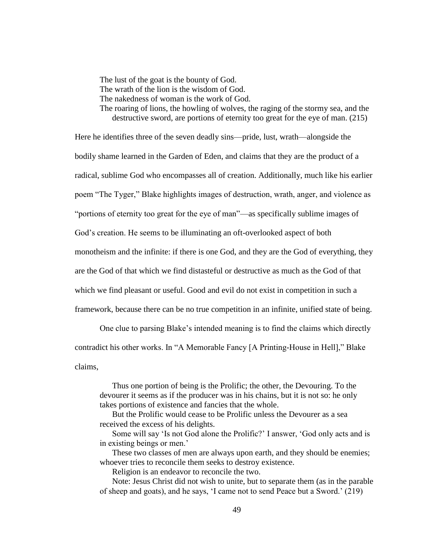The lust of the goat is the bounty of God. The wrath of the lion is the wisdom of God. The nakedness of woman is the work of God. The roaring of lions, the howling of wolves, the raging of the stormy sea, and the

destructive sword, are portions of eternity too great for the eye of man. (215)

Here he identifies three of the seven deadly sins—pride, lust, wrath—alongside the bodily shame learned in the Garden of Eden, and claims that they are the product of a radical, sublime God who encompasses all of creation. Additionally, much like his earlier poem "The Tyger," Blake highlights images of destruction, wrath, anger, and violence as "portions of eternity too great for the eye of man"—as specifically sublime images of God's creation. He seems to be illuminating an oft-overlooked aspect of both monotheism and the infinite: if there is one God, and they are the God of everything, they are the God of that which we find distasteful or destructive as much as the God of that which we find pleasant or useful. Good and evil do not exist in competition in such a framework, because there can be no true competition in an infinite, unified state of being.

One clue to parsing Blake's intended meaning is to find the claims which directly contradict his other works. In "A Memorable Fancy [A Printing-House in Hell]," Blake claims,

Thus one portion of being is the Prolific; the other, the Devouring. To the devourer it seems as if the producer was in his chains, but it is not so: he only takes portions of existence and fancies that the whole.

But the Prolific would cease to be Prolific unless the Devourer as a sea received the excess of his delights.

Some will say 'Is not God alone the Prolific?' I answer, 'God only acts and is in existing beings or men.'

These two classes of men are always upon earth, and they should be enemies; whoever tries to reconcile them seeks to destroy existence.

Religion is an endeavor to reconcile the two.

Note: Jesus Christ did not wish to unite, but to separate them (as in the parable of sheep and goats), and he says, 'I came not to send Peace but a Sword.' (219)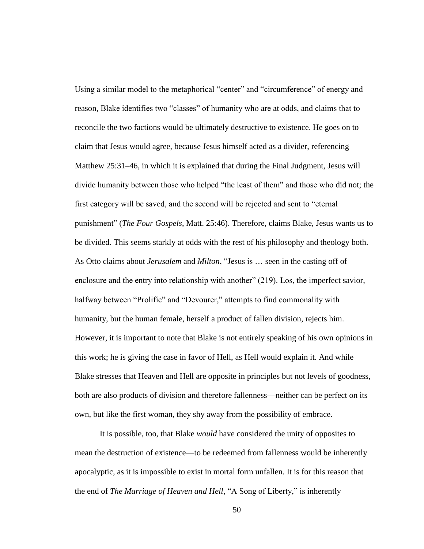Using a similar model to the metaphorical "center" and "circumference" of energy and reason, Blake identifies two "classes" of humanity who are at odds, and claims that to reconcile the two factions would be ultimately destructive to existence. He goes on to claim that Jesus would agree, because Jesus himself acted as a divider, referencing Matthew 25:31–46, in which it is explained that during the Final Judgment, Jesus will divide humanity between those who helped "the least of them" and those who did not; the first category will be saved, and the second will be rejected and sent to "eternal punishment" (*The Four Gospels*, Matt. 25:46). Therefore, claims Blake, Jesus wants us to be divided. This seems starkly at odds with the rest of his philosophy and theology both. As Otto claims about *Jerusalem* and *Milton*, "Jesus is … seen in the casting off of enclosure and the entry into relationship with another" (219). Los, the imperfect savior, halfway between "Prolific" and "Devourer," attempts to find commonality with humanity, but the human female, herself a product of fallen division, rejects him. However, it is important to note that Blake is not entirely speaking of his own opinions in this work; he is giving the case in favor of Hell, as Hell would explain it. And while Blake stresses that Heaven and Hell are opposite in principles but not levels of goodness, both are also products of division and therefore fallenness—neither can be perfect on its own, but like the first woman, they shy away from the possibility of embrace.

It is possible, too, that Blake *would* have considered the unity of opposites to mean the destruction of existence—to be redeemed from fallenness would be inherently apocalyptic, as it is impossible to exist in mortal form unfallen. It is for this reason that the end of *The Marriage of Heaven and Hell*, "A Song of Liberty," is inherently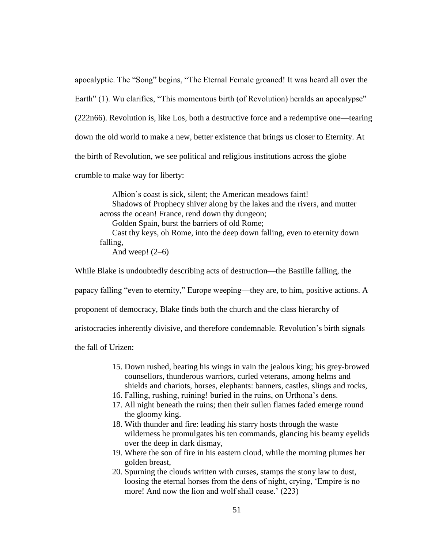apocalyptic. The "Song" begins, "The Eternal Female groaned! It was heard all over the Earth" (1). Wu clarifies, "This momentous birth (of Revolution) heralds an apocalypse" (222n66). Revolution is, like Los, both a destructive force and a redemptive one—tearing down the old world to make a new, better existence that brings us closer to Eternity. At the birth of Revolution, we see political and religious institutions across the globe crumble to make way for liberty:

Albion's coast is sick, silent; the American meadows faint! Shadows of Prophecy shiver along by the lakes and the rivers, and mutter across the ocean! France, rend down thy dungeon; Golden Spain, burst the barriers of old Rome; Cast thy keys, oh Rome, into the deep down falling, even to eternity down

falling,

And weep! (2–6)

While Blake is undoubtedly describing acts of destruction—the Bastille falling, the

papacy falling "even to eternity," Europe weeping—they are, to him, positive actions. A

proponent of democracy, Blake finds both the church and the class hierarchy of

aristocracies inherently divisive, and therefore condemnable. Revolution's birth signals

the fall of Urizen:

- 15. Down rushed, beating his wings in vain the jealous king; his grey-browed counsellors, thunderous warriors, curled veterans, among helms and shields and chariots, horses, elephants: banners, castles, slings and rocks,
- 16. Falling, rushing, ruining! buried in the ruins, on Urthona's dens.
- 17. All night beneath the ruins; then their sullen flames faded emerge round the gloomy king.
- 18. With thunder and fire: leading his starry hosts through the waste wilderness he promulgates his ten commands, glancing his beamy eyelids over the deep in dark dismay,
- 19. Where the son of fire in his eastern cloud, while the morning plumes her golden breast,
- 20. Spurning the clouds written with curses, stamps the stony law to dust, loosing the eternal horses from the dens of night, crying, 'Empire is no more! And now the lion and wolf shall cease.' (223)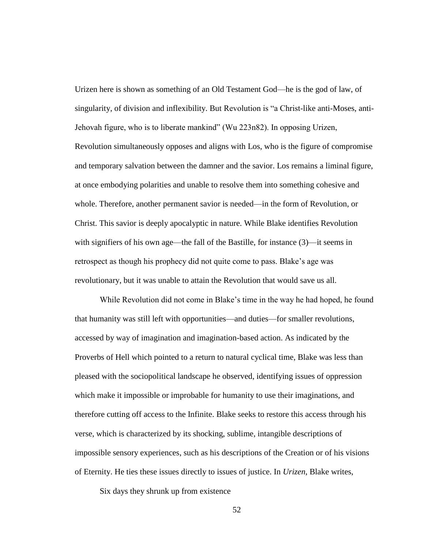Urizen here is shown as something of an Old Testament God—he is the god of law, of singularity, of division and inflexibility. But Revolution is "a Christ-like anti-Moses, anti-Jehovah figure, who is to liberate mankind" (Wu 223n82). In opposing Urizen, Revolution simultaneously opposes and aligns with Los, who is the figure of compromise and temporary salvation between the damner and the savior. Los remains a liminal figure, at once embodying polarities and unable to resolve them into something cohesive and whole. Therefore, another permanent savior is needed—in the form of Revolution, or Christ. This savior is deeply apocalyptic in nature. While Blake identifies Revolution with signifiers of his own age—the fall of the Bastille, for instance (3)—it seems in retrospect as though his prophecy did not quite come to pass. Blake's age was revolutionary, but it was unable to attain the Revolution that would save us all.

While Revolution did not come in Blake's time in the way he had hoped, he found that humanity was still left with opportunities—and duties—for smaller revolutions, accessed by way of imagination and imagination-based action. As indicated by the Proverbs of Hell which pointed to a return to natural cyclical time, Blake was less than pleased with the sociopolitical landscape he observed, identifying issues of oppression which make it impossible or improbable for humanity to use their imaginations, and therefore cutting off access to the Infinite. Blake seeks to restore this access through his verse, which is characterized by its shocking, sublime, intangible descriptions of impossible sensory experiences, such as his descriptions of the Creation or of his visions of Eternity. He ties these issues directly to issues of justice. In *Urizen*, Blake writes,

Six days they shrunk up from existence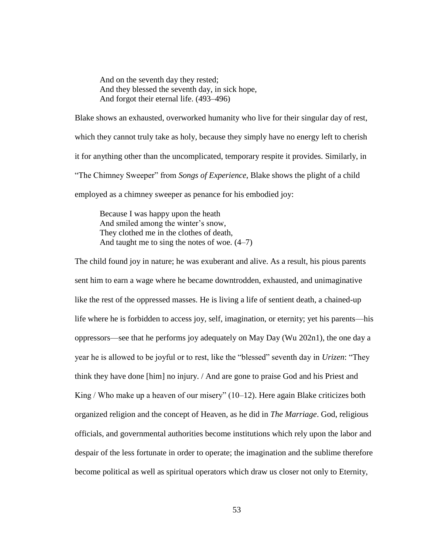And on the seventh day they rested; And they blessed the seventh day, in sick hope, And forgot their eternal life. (493–496)

Blake shows an exhausted, overworked humanity who live for their singular day of rest, which they cannot truly take as holy, because they simply have no energy left to cherish it for anything other than the uncomplicated, temporary respite it provides. Similarly, in "The Chimney Sweeper" from *Songs of Experience*, Blake shows the plight of a child employed as a chimney sweeper as penance for his embodied joy:

Because I was happy upon the heath And smiled among the winter's snow, They clothed me in the clothes of death, And taught me to sing the notes of woe. (4–7)

The child found joy in nature; he was exuberant and alive. As a result, his pious parents sent him to earn a wage where he became downtrodden, exhausted, and unimaginative like the rest of the oppressed masses. He is living a life of sentient death, a chained-up life where he is forbidden to access joy, self, imagination, or eternity; yet his parents—his oppressors—see that he performs joy adequately on May Day (Wu 202n1), the one day a year he is allowed to be joyful or to rest, like the "blessed" seventh day in *Urizen*: "They think they have done [him] no injury. / And are gone to praise God and his Priest and King / Who make up a heaven of our misery" (10–12). Here again Blake criticizes both organized religion and the concept of Heaven, as he did in *The Marriage*. God, religious officials, and governmental authorities become institutions which rely upon the labor and despair of the less fortunate in order to operate; the imagination and the sublime therefore become political as well as spiritual operators which draw us closer not only to Eternity,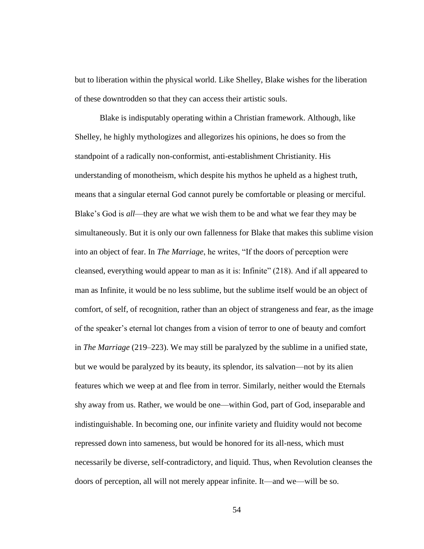but to liberation within the physical world. Like Shelley, Blake wishes for the liberation of these downtrodden so that they can access their artistic souls.

Blake is indisputably operating within a Christian framework. Although, like Shelley, he highly mythologizes and allegorizes his opinions, he does so from the standpoint of a radically non-conformist, anti-establishment Christianity. His understanding of monotheism, which despite his mythos he upheld as a highest truth, means that a singular eternal God cannot purely be comfortable or pleasing or merciful. Blake's God is *all*—they are what we wish them to be and what we fear they may be simultaneously. But it is only our own fallenness for Blake that makes this sublime vision into an object of fear. In *The Marriage*, he writes, "If the doors of perception were cleansed, everything would appear to man as it is: Infinite" (218). And if all appeared to man as Infinite, it would be no less sublime, but the sublime itself would be an object of comfort, of self, of recognition, rather than an object of strangeness and fear, as the image of the speaker's eternal lot changes from a vision of terror to one of beauty and comfort in *The Marriage* (219–223). We may still be paralyzed by the sublime in a unified state, but we would be paralyzed by its beauty, its splendor, its salvation—not by its alien features which we weep at and flee from in terror. Similarly, neither would the Eternals shy away from us. Rather, we would be one—within God, part of God, inseparable and indistinguishable. In becoming one, our infinite variety and fluidity would not become repressed down into sameness, but would be honored for its all-ness, which must necessarily be diverse, self-contradictory, and liquid. Thus, when Revolution cleanses the doors of perception, all will not merely appear infinite. It—and we—will be so.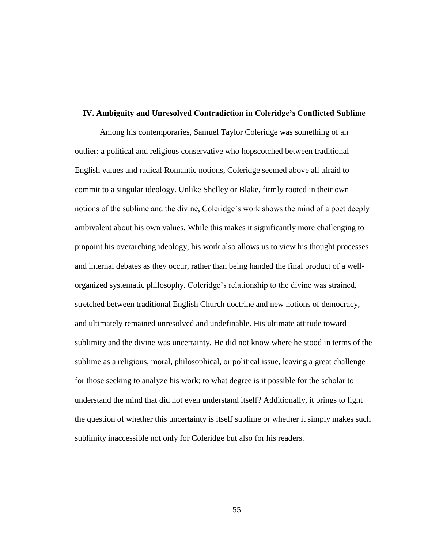## **IV. Ambiguity and Unresolved Contradiction in Coleridge's Conflicted Sublime**

Among his contemporaries, Samuel Taylor Coleridge was something of an outlier: a political and religious conservative who hopscotched between traditional English values and radical Romantic notions, Coleridge seemed above all afraid to commit to a singular ideology. Unlike Shelley or Blake, firmly rooted in their own notions of the sublime and the divine, Coleridge's work shows the mind of a poet deeply ambivalent about his own values. While this makes it significantly more challenging to pinpoint his overarching ideology, his work also allows us to view his thought processes and internal debates as they occur, rather than being handed the final product of a wellorganized systematic philosophy. Coleridge's relationship to the divine was strained, stretched between traditional English Church doctrine and new notions of democracy, and ultimately remained unresolved and undefinable. His ultimate attitude toward sublimity and the divine was uncertainty. He did not know where he stood in terms of the sublime as a religious, moral, philosophical, or political issue, leaving a great challenge for those seeking to analyze his work: to what degree is it possible for the scholar to understand the mind that did not even understand itself? Additionally, it brings to light the question of whether this uncertainty is itself sublime or whether it simply makes such sublimity inaccessible not only for Coleridge but also for his readers.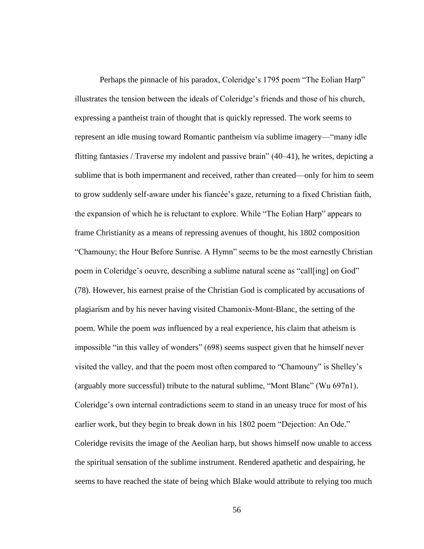Perhaps the pinnacle of his paradox, Coleridge's 1795 poem "The Eolian Harp" illustrates the tension between the ideals of Coleridge's friends and those of his church, expressing a pantheist train of thought that is quickly repressed. The work seems to represent an idle musing toward Romantic pantheism via sublime imagery—"many idle flitting fantasies / Traverse my indolent and passive brain" (40–41), he writes, depicting a sublime that is both impermanent and received, rather than created—only for him to seem to grow suddenly self-aware under his fiancée's gaze, returning to a fixed Christian faith, the expansion of which he is reluctant to explore. While "The Eolian Harp" appears to frame Christianity as a means of repressing avenues of thought, his 1802 composition "Chamouny; the Hour Before Sunrise. A Hymn" seems to be the most earnestly Christian poem in Coleridge's oeuvre, describing a sublime natural scene as "call[ing] on God" (78). However, his earnest praise of the Christian God is complicated by accusations of plagiarism and by his never having visited Chamonix-Mont-Blanc, the setting of the poem. While the poem *was* influenced by a real experience, his claim that atheism is impossible "in this valley of wonders" (698) seems suspect given that he himself never visited the valley, and that the poem most often compared to "Chamouny" is Shelley's (arguably more successful) tribute to the natural sublime, "Mont Blanc" (Wu 697n1). Coleridge's own internal contradictions seem to stand in an uneasy truce for most of his earlier work, but they begin to break down in his 1802 poem "Dejection: An Ode." Coleridge revisits the image of the Aeolian harp, but shows himself now unable to access the spiritual sensation of the sublime instrument. Rendered apathetic and despairing, he seems to have reached the state of being which Blake would attribute to relying too much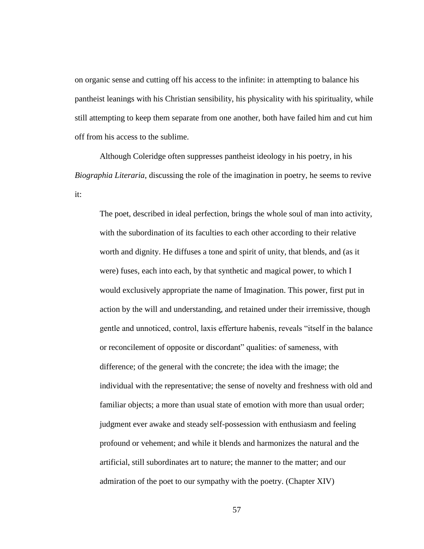on organic sense and cutting off his access to the infinite: in attempting to balance his pantheist leanings with his Christian sensibility, his physicality with his spirituality, while still attempting to keep them separate from one another, both have failed him and cut him off from his access to the sublime.

Although Coleridge often suppresses pantheist ideology in his poetry, in his *Biographia Literaria*, discussing the role of the imagination in poetry, he seems to revive it:

The poet, described in ideal perfection, brings the whole soul of man into activity, with the subordination of its faculties to each other according to their relative worth and dignity. He diffuses a tone and spirit of unity, that blends, and (as it were) fuses, each into each, by that synthetic and magical power, to which I would exclusively appropriate the name of Imagination. This power, first put in action by the will and understanding, and retained under their irremissive, though gentle and unnoticed, control, laxis efferture habenis, reveals "itself in the balance or reconcilement of opposite or discordant" qualities: of sameness, with difference; of the general with the concrete; the idea with the image; the individual with the representative; the sense of novelty and freshness with old and familiar objects; a more than usual state of emotion with more than usual order; judgment ever awake and steady self-possession with enthusiasm and feeling profound or vehement; and while it blends and harmonizes the natural and the artificial, still subordinates art to nature; the manner to the matter; and our admiration of the poet to our sympathy with the poetry. (Chapter XIV)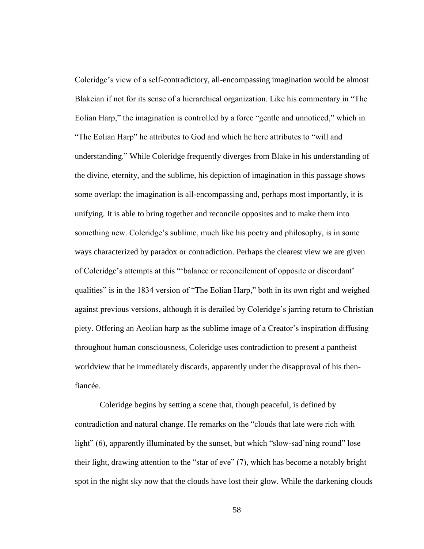Coleridge's view of a self-contradictory, all-encompassing imagination would be almost Blakeian if not for its sense of a hierarchical organization. Like his commentary in "The Eolian Harp," the imagination is controlled by a force "gentle and unnoticed," which in "The Eolian Harp" he attributes to God and which he here attributes to "will and understanding." While Coleridge frequently diverges from Blake in his understanding of the divine, eternity, and the sublime, his depiction of imagination in this passage shows some overlap: the imagination is all-encompassing and, perhaps most importantly, it is unifying. It is able to bring together and reconcile opposites and to make them into something new. Coleridge's sublime, much like his poetry and philosophy, is in some ways characterized by paradox or contradiction. Perhaps the clearest view we are given of Coleridge's attempts at this "'balance or reconcilement of opposite or discordant' qualities" is in the 1834 version of "The Eolian Harp," both in its own right and weighed against previous versions, although it is derailed by Coleridge's jarring return to Christian piety. Offering an Aeolian harp as the sublime image of a Creator's inspiration diffusing throughout human consciousness, Coleridge uses contradiction to present a pantheist worldview that he immediately discards, apparently under the disapproval of his thenfiancée.

Coleridge begins by setting a scene that, though peaceful, is defined by contradiction and natural change. He remarks on the "clouds that late were rich with light" (6), apparently illuminated by the sunset, but which "slow-sad'ning round" lose their light, drawing attention to the "star of eve" (7), which has become a notably bright spot in the night sky now that the clouds have lost their glow. While the darkening clouds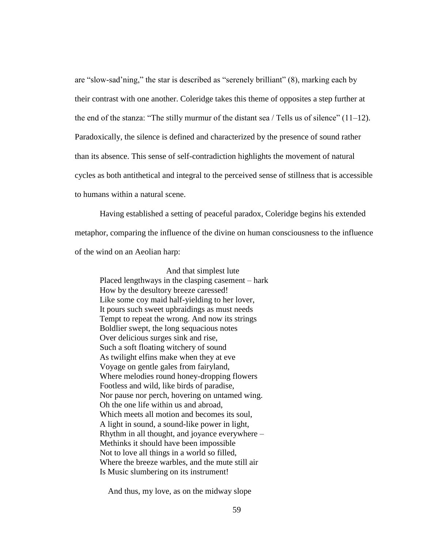are "slow-sad'ning," the star is described as "serenely brilliant" (8), marking each by their contrast with one another. Coleridge takes this theme of opposites a step further at the end of the stanza: "The stilly murmur of the distant sea / Tells us of silence"  $(11-12)$ . Paradoxically, the silence is defined and characterized by the presence of sound rather than its absence. This sense of self-contradiction highlights the movement of natural cycles as both antithetical and integral to the perceived sense of stillness that is accessible to humans within a natural scene.

Having established a setting of peaceful paradox, Coleridge begins his extended metaphor, comparing the influence of the divine on human consciousness to the influence of the wind on an Aeolian harp:

 And that simplest lute Placed lengthways in the clasping casement – hark How by the desultory breeze caressed! Like some coy maid half-yielding to her lover, It pours such sweet upbraidings as must needs Tempt to repeat the wrong. And now its strings Boldlier swept, the long sequacious notes Over delicious surges sink and rise, Such a soft floating witchery of sound As twilight elfins make when they at eve Voyage on gentle gales from fairyland, Where melodies round honey-dropping flowers Footless and wild, like birds of paradise, Nor pause nor perch, hovering on untamed wing. Oh the one life within us and abroad, Which meets all motion and becomes its soul, A light in sound, a sound-like power in light, Rhythm in all thought, and joyance everywhere – Methinks it should have been impossible Not to love all things in a world so filled, Where the breeze warbles, and the mute still air Is Music slumbering on its instrument!

And thus, my love, as on the midway slope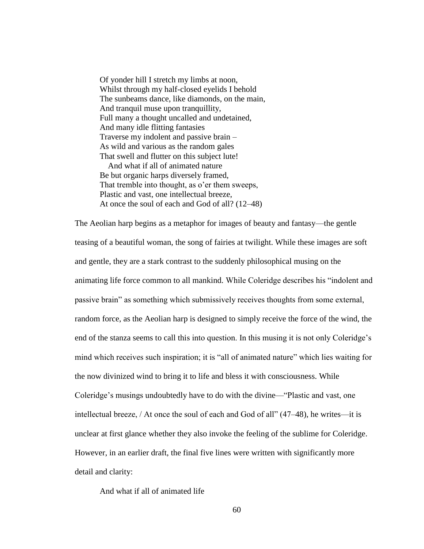Of yonder hill I stretch my limbs at noon, Whilst through my half-closed eyelids I behold The sunbeams dance, like diamonds, on the main, And tranquil muse upon tranquillity, Full many a thought uncalled and undetained, And many idle flitting fantasies Traverse my indolent and passive brain – As wild and various as the random gales That swell and flutter on this subject lute! And what if all of animated nature Be but organic harps diversely framed, That tremble into thought, as o'er them sweeps, Plastic and vast, one intellectual breeze, At once the soul of each and God of all? (12–48)

The Aeolian harp begins as a metaphor for images of beauty and fantasy—the gentle teasing of a beautiful woman, the song of fairies at twilight. While these images are soft and gentle, they are a stark contrast to the suddenly philosophical musing on the animating life force common to all mankind. While Coleridge describes his "indolent and passive brain" as something which submissively receives thoughts from some external, random force, as the Aeolian harp is designed to simply receive the force of the wind, the end of the stanza seems to call this into question. In this musing it is not only Coleridge's mind which receives such inspiration; it is "all of animated nature" which lies waiting for the now divinized wind to bring it to life and bless it with consciousness. While Coleridge's musings undoubtedly have to do with the divine—"Plastic and vast, one intellectual breeze, / At once the soul of each and God of all" (47–48), he writes—it is unclear at first glance whether they also invoke the feeling of the sublime for Coleridge. However, in an earlier draft, the final five lines were written with significantly more detail and clarity:

And what if all of animated life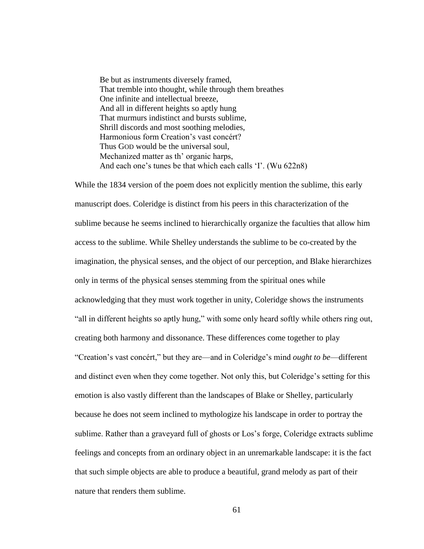Be but as instruments diversely framed, That tremble into thought, while through them breathes One infinite and intellectual breeze, And all in different heights so aptly hung That murmurs indistinct and bursts sublime, Shrill discords and most soothing melodies, Harmonious form Creation's vast concért? Thus GOD would be the universal soul, Mechanized matter as th' organic harps, And each one's tunes be that which each calls 'I'. (Wu 622n8)

While the 1834 version of the poem does not explicitly mention the sublime, this early manuscript does. Coleridge is distinct from his peers in this characterization of the sublime because he seems inclined to hierarchically organize the faculties that allow him access to the sublime. While Shelley understands the sublime to be co-created by the imagination, the physical senses, and the object of our perception, and Blake hierarchizes only in terms of the physical senses stemming from the spiritual ones while acknowledging that they must work together in unity, Coleridge shows the instruments "all in different heights so aptly hung," with some only heard softly while others ring out, creating both harmony and dissonance. These differences come together to play "Creation's vast concért," but they are—and in Coleridge's mind *ought to be*—different and distinct even when they come together. Not only this, but Coleridge's setting for this emotion is also vastly different than the landscapes of Blake or Shelley, particularly because he does not seem inclined to mythologize his landscape in order to portray the sublime. Rather than a graveyard full of ghosts or Los's forge, Coleridge extracts sublime feelings and concepts from an ordinary object in an unremarkable landscape: it is the fact that such simple objects are able to produce a beautiful, grand melody as part of their nature that renders them sublime.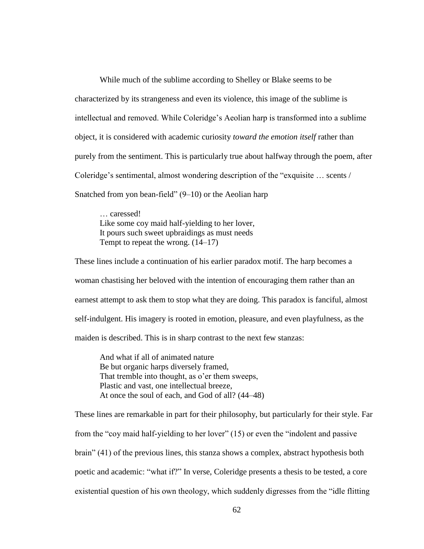While much of the sublime according to Shelley or Blake seems to be characterized by its strangeness and even its violence, this image of the sublime is intellectual and removed. While Coleridge's Aeolian harp is transformed into a sublime object, it is considered with academic curiosity *toward the emotion itself* rather than purely from the sentiment. This is particularly true about halfway through the poem, after Coleridge's sentimental, almost wondering description of the "exquisite … scents / Snatched from yon bean-field"  $(9-10)$  or the Aeolian harp

… caressed! Like some coy maid half-yielding to her lover, It pours such sweet upbraidings as must needs Tempt to repeat the wrong. (14–17)

These lines include a continuation of his earlier paradox motif. The harp becomes a woman chastising her beloved with the intention of encouraging them rather than an earnest attempt to ask them to stop what they are doing. This paradox is fanciful, almost self-indulgent. His imagery is rooted in emotion, pleasure, and even playfulness, as the maiden is described. This is in sharp contrast to the next few stanzas:

And what if all of animated nature Be but organic harps diversely framed, That tremble into thought, as o'er them sweeps, Plastic and vast, one intellectual breeze, At once the soul of each, and God of all? (44–48)

These lines are remarkable in part for their philosophy, but particularly for their style. Far from the "coy maid half-yielding to her lover" (15) or even the "indolent and passive brain" (41) of the previous lines, this stanza shows a complex, abstract hypothesis both poetic and academic: "what if?" In verse, Coleridge presents a thesis to be tested, a core existential question of his own theology, which suddenly digresses from the "idle flitting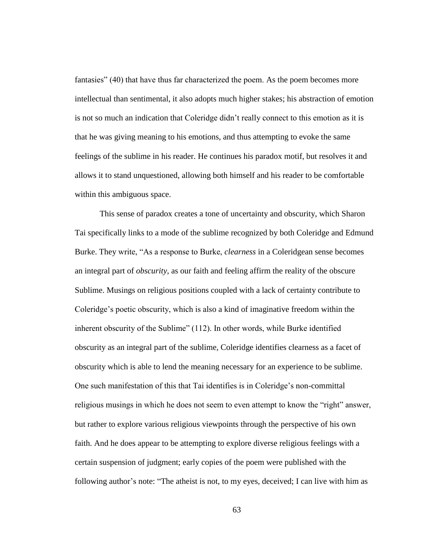fantasies" (40) that have thus far characterized the poem. As the poem becomes more intellectual than sentimental, it also adopts much higher stakes; his abstraction of emotion is not so much an indication that Coleridge didn't really connect to this emotion as it is that he was giving meaning to his emotions, and thus attempting to evoke the same feelings of the sublime in his reader. He continues his paradox motif, but resolves it and allows it to stand unquestioned, allowing both himself and his reader to be comfortable within this ambiguous space.

This sense of paradox creates a tone of uncertainty and obscurity, which Sharon Tai specifically links to a mode of the sublime recognized by both Coleridge and Edmund Burke. They write, "As a response to Burke, *clearness* in a Coleridgean sense becomes an integral part of *obscurity*, as our faith and feeling affirm the reality of the obscure Sublime. Musings on religious positions coupled with a lack of certainty contribute to Coleridge's poetic obscurity, which is also a kind of imaginative freedom within the inherent obscurity of the Sublime" (112). In other words, while Burke identified obscurity as an integral part of the sublime, Coleridge identifies clearness as a facet of obscurity which is able to lend the meaning necessary for an experience to be sublime. One such manifestation of this that Tai identifies is in Coleridge's non-committal religious musings in which he does not seem to even attempt to know the "right" answer, but rather to explore various religious viewpoints through the perspective of his own faith. And he does appear to be attempting to explore diverse religious feelings with a certain suspension of judgment; early copies of the poem were published with the following author's note: "The atheist is not, to my eyes, deceived; I can live with him as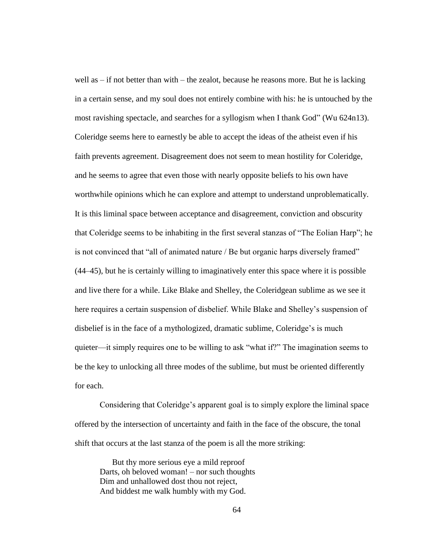well as – if not better than with – the zealot, because he reasons more. But he is lacking in a certain sense, and my soul does not entirely combine with his: he is untouched by the most ravishing spectacle, and searches for a syllogism when I thank God" (Wu 624n13). Coleridge seems here to earnestly be able to accept the ideas of the atheist even if his faith prevents agreement. Disagreement does not seem to mean hostility for Coleridge, and he seems to agree that even those with nearly opposite beliefs to his own have worthwhile opinions which he can explore and attempt to understand unproblematically. It is this liminal space between acceptance and disagreement, conviction and obscurity that Coleridge seems to be inhabiting in the first several stanzas of "The Eolian Harp"; he is not convinced that "all of animated nature / Be but organic harps diversely framed" (44–45), but he is certainly willing to imaginatively enter this space where it is possible and live there for a while. Like Blake and Shelley, the Coleridgean sublime as we see it here requires a certain suspension of disbelief. While Blake and Shelley's suspension of disbelief is in the face of a mythologized, dramatic sublime, Coleridge's is much quieter—it simply requires one to be willing to ask "what if?" The imagination seems to be the key to unlocking all three modes of the sublime, but must be oriented differently for each.

Considering that Coleridge's apparent goal is to simply explore the liminal space offered by the intersection of uncertainty and faith in the face of the obscure, the tonal shift that occurs at the last stanza of the poem is all the more striking:

But thy more serious eye a mild reproof Darts, oh beloved woman! – nor such thoughts Dim and unhallowed dost thou not reject, And biddest me walk humbly with my God.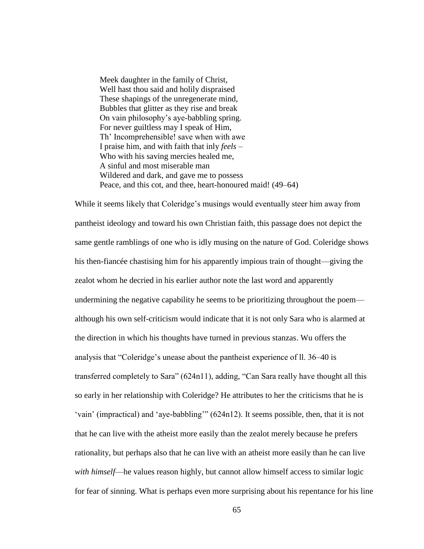Meek daughter in the family of Christ, Well hast thou said and holily dispraised These shapings of the unregenerate mind, Bubbles that glitter as they rise and break On vain philosophy's aye-babbling spring. For never guiltless may I speak of Him, Th' Incomprehensible! save when with awe I praise him, and with faith that inly *feels* – Who with his saving mercies healed me, A sinful and most miserable man Wildered and dark, and gave me to possess Peace, and this cot, and thee, heart-honoured maid! (49–64)

While it seems likely that Coleridge's musings would eventually steer him away from pantheist ideology and toward his own Christian faith, this passage does not depict the same gentle ramblings of one who is idly musing on the nature of God. Coleridge shows his then-fiancée chastising him for his apparently impious train of thought—giving the zealot whom he decried in his earlier author note the last word and apparently undermining the negative capability he seems to be prioritizing throughout the poem although his own self-criticism would indicate that it is not only Sara who is alarmed at the direction in which his thoughts have turned in previous stanzas. Wu offers the analysis that "Coleridge's unease about the pantheist experience of ll. 36–40 is transferred completely to Sara" (624n11), adding, "Can Sara really have thought all this so early in her relationship with Coleridge? He attributes to her the criticisms that he is 'vain' (impractical) and 'aye-babbling'" (624n12). It seems possible, then, that it is not that he can live with the atheist more easily than the zealot merely because he prefers rationality, but perhaps also that he can live with an atheist more easily than he can live *with himself*—he values reason highly, but cannot allow himself access to similar logic for fear of sinning. What is perhaps even more surprising about his repentance for his line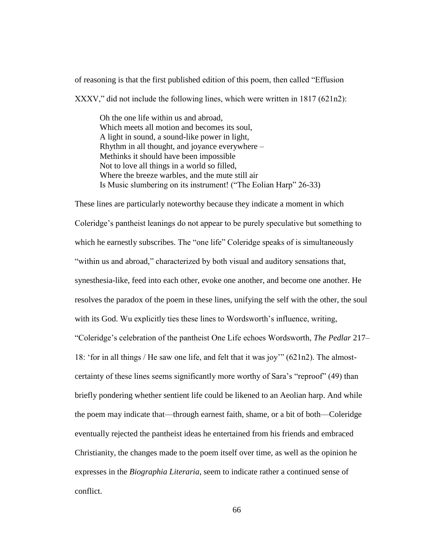of reasoning is that the first published edition of this poem, then called "Effusion XXXV," did not include the following lines, which were written in 1817 (621n2):

Oh the one life within us and abroad, Which meets all motion and becomes its soul, A light in sound, a sound-like power in light, Rhythm in all thought, and joyance everywhere – Methinks it should have been impossible Not to love all things in a world so filled, Where the breeze warbles, and the mute still air Is Music slumbering on its instrument! ("The Eolian Harp" 26-33)

These lines are particularly noteworthy because they indicate a moment in which Coleridge's pantheist leanings do not appear to be purely speculative but something to which he earnestly subscribes. The "one life" Coleridge speaks of is simultaneously "within us and abroad," characterized by both visual and auditory sensations that, synesthesia-like, feed into each other, evoke one another, and become one another. He resolves the paradox of the poem in these lines, unifying the self with the other, the soul with its God. Wu explicitly ties these lines to Wordsworth's influence, writing, "Coleridge's celebration of the pantheist One Life echoes Wordsworth, *The Pedlar* 217– 18: 'for in all things / He saw one life, and felt that it was joy'" (621n2). The almostcertainty of these lines seems significantly more worthy of Sara's "reproof" (49) than briefly pondering whether sentient life could be likened to an Aeolian harp. And while the poem may indicate that—through earnest faith, shame, or a bit of both—Coleridge eventually rejected the pantheist ideas he entertained from his friends and embraced Christianity, the changes made to the poem itself over time, as well as the opinion he expresses in the *Biographia Literaria*, seem to indicate rather a continued sense of conflict.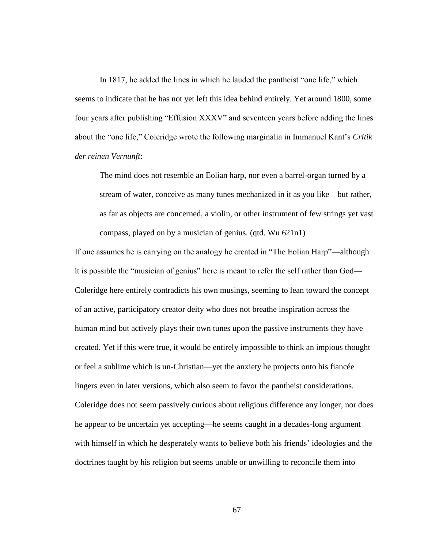In 1817, he added the lines in which he lauded the pantheist "one life," which seems to indicate that he has not yet left this idea behind entirely. Yet around 1800, some four years after publishing "Effusion XXXV" and seventeen years before adding the lines about the "one life," Coleridge wrote the following marginalia in Immanuel Kant's *Critik der reinen Vernunft*:

The mind does not resemble an Eolian harp, nor even a barrel-organ turned by a stream of water, conceive as many tunes mechanized in it as you like – but rather, as far as objects are concerned, a violin, or other instrument of few strings yet vast compass, played on by a musician of genius. (qtd. Wu 621n1)

If one assumes he is carrying on the analogy he created in "The Eolian Harp"—although it is possible the "musician of genius" here is meant to refer the self rather than God— Coleridge here entirely contradicts his own musings, seeming to lean toward the concept of an active, participatory creator deity who does not breathe inspiration across the human mind but actively plays their own tunes upon the passive instruments they have created. Yet if this were true, it would be entirely impossible to think an impious thought or feel a sublime which is un-Christian—yet the anxiety he projects onto his fiancée lingers even in later versions, which also seem to favor the pantheist considerations. Coleridge does not seem passively curious about religious difference any longer, nor does he appear to be uncertain yet accepting—he seems caught in a decades-long argument with himself in which he desperately wants to believe both his friends' ideologies and the doctrines taught by his religion but seems unable or unwilling to reconcile them into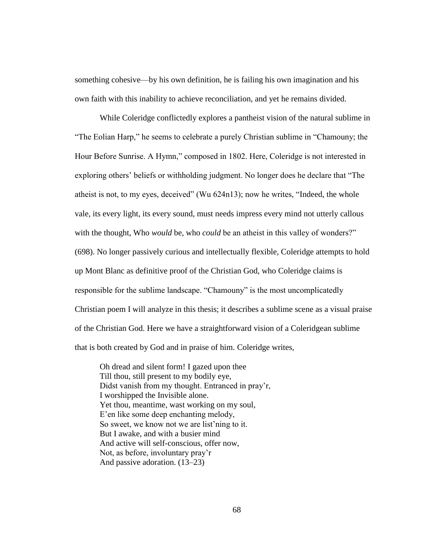something cohesive—by his own definition, he is failing his own imagination and his own faith with this inability to achieve reconciliation, and yet he remains divided.

While Coleridge conflictedly explores a pantheist vision of the natural sublime in "The Eolian Harp," he seems to celebrate a purely Christian sublime in "Chamouny; the Hour Before Sunrise. A Hymn," composed in 1802. Here, Coleridge is not interested in exploring others' beliefs or withholding judgment. No longer does he declare that "The atheist is not, to my eyes, deceived" (Wu 624n13); now he writes, "Indeed, the whole vale, its every light, its every sound, must needs impress every mind not utterly callous with the thought, Who *would* be, who *could* be an atheist in this valley of wonders?" (698). No longer passively curious and intellectually flexible, Coleridge attempts to hold up Mont Blanc as definitive proof of the Christian God, who Coleridge claims is responsible for the sublime landscape. "Chamouny" is the most uncomplicatedly Christian poem I will analyze in this thesis; it describes a sublime scene as a visual praise of the Christian God. Here we have a straightforward vision of a Coleridgean sublime that is both created by God and in praise of him. Coleridge writes,

Oh dread and silent form! I gazed upon thee Till thou, still present to my bodily eye, Didst vanish from my thought. Entranced in pray'r, I worshipped the Invisible alone. Yet thou, meantime, wast working on my soul, E'en like some deep enchanting melody, So sweet, we know not we are list'ning to it. But I awake, and with a busier mind And active will self-conscious, offer now, Not, as before, involuntary pray'r And passive adoration. (13–23)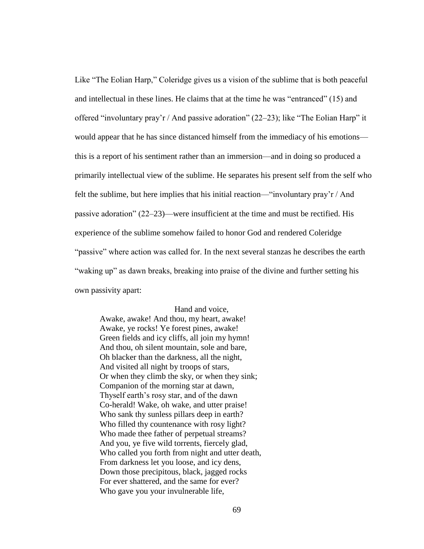Like "The Eolian Harp," Coleridge gives us a vision of the sublime that is both peaceful and intellectual in these lines. He claims that at the time he was "entranced" (15) and offered "involuntary pray'r / And passive adoration" (22–23); like "The Eolian Harp" it would appear that he has since distanced himself from the immediacy of his emotions this is a report of his sentiment rather than an immersion—and in doing so produced a primarily intellectual view of the sublime. He separates his present self from the self who felt the sublime, but here implies that his initial reaction—"involuntary pray'r / And passive adoration" (22–23)—were insufficient at the time and must be rectified. His experience of the sublime somehow failed to honor God and rendered Coleridge "passive" where action was called for. In the next several stanzas he describes the earth "waking up" as dawn breaks, breaking into praise of the divine and further setting his own passivity apart:

Hand and voice, Awake, awake! And thou, my heart, awake! Awake, ye rocks! Ye forest pines, awake! Green fields and icy cliffs, all join my hymn! And thou, oh silent mountain, sole and bare, Oh blacker than the darkness, all the night, And visited all night by troops of stars, Or when they climb the sky, or when they sink; Companion of the morning star at dawn, Thyself earth's rosy star, and of the dawn Co-herald! Wake, oh wake, and utter praise! Who sank thy sunless pillars deep in earth? Who filled thy countenance with rosy light? Who made thee father of perpetual streams? And you, ye five wild torrents, fiercely glad, Who called you forth from night and utter death, From darkness let you loose, and icy dens, Down those precipitous, black, jagged rocks For ever shattered, and the same for ever? Who gave you your invulnerable life,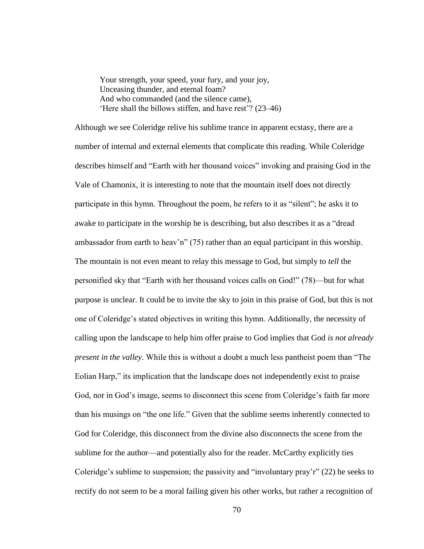Your strength, your speed, your fury, and your joy, Unceasing thunder, and eternal foam? And who commanded (and the silence came), 'Here shall the billows stiffen, and have rest'? (23–46)

Although we see Coleridge relive his sublime trance in apparent ecstasy, there are a number of internal and external elements that complicate this reading. While Coleridge describes himself and "Earth with her thousand voices" invoking and praising God in the Vale of Chamonix, it is interesting to note that the mountain itself does not directly participate in this hymn. Throughout the poem, he refers to it as "silent"; he asks it to awake to participate in the worship he is describing, but also describes it as a "dread ambassador from earth to heav'n" (75) rather than an equal participant in this worship. The mountain is not even meant to relay this message to God, but simply to *tell* the personified sky that "Earth with her thousand voices calls on God!" (78)—but for what purpose is unclear. It could be to invite the sky to join in this praise of God, but this is not one of Coleridge's stated objectives in writing this hymn. Additionally, the necessity of calling upon the landscape to help him offer praise to God implies that God *is not already present in the valley*. While this is without a doubt a much less pantheist poem than "The Eolian Harp," its implication that the landscape does not independently exist to praise God, nor in God's image, seems to disconnect this scene from Coleridge's faith far more than his musings on "the one life." Given that the sublime seems inherently connected to God for Coleridge, this disconnect from the divine also disconnects the scene from the sublime for the author—and potentially also for the reader. McCarthy explicitly ties Coleridge's sublime to suspension; the passivity and "involuntary pray'r" (22) he seeks to rectify do not seem to be a moral failing given his other works, but rather a recognition of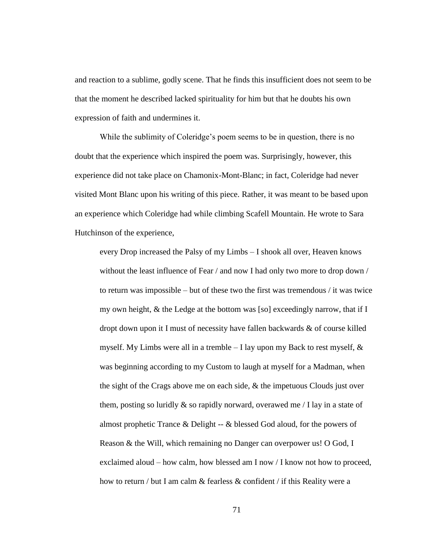and reaction to a sublime, godly scene. That he finds this insufficient does not seem to be that the moment he described lacked spirituality for him but that he doubts his own expression of faith and undermines it.

While the sublimity of Coleridge's poem seems to be in question, there is no doubt that the experience which inspired the poem was. Surprisingly, however, this experience did not take place on Chamonix-Mont-Blanc; in fact, Coleridge had never visited Mont Blanc upon his writing of this piece. Rather, it was meant to be based upon an experience which Coleridge had while climbing Scafell Mountain. He wrote to Sara Hutchinson of the experience,

every Drop increased the Palsy of my Limbs – I shook all over, Heaven knows without the least influence of Fear / and now I had only two more to drop down / to return was impossible – but of these two the first was tremendous / it was twice my own height, & the Ledge at the bottom was [so] exceedingly narrow, that if I dropt down upon it I must of necessity have fallen backwards & of course killed myself. My Limbs were all in a tremble  $-1$  lay upon my Back to rest myself,  $\&$ was beginning according to my Custom to laugh at myself for a Madman, when the sight of the Crags above me on each side, & the impetuous Clouds just over them, posting so luridly  $\&$  so rapidly norward, overawed me / I lay in a state of almost prophetic Trance & Delight -- & blessed God aloud, for the powers of Reason & the Will, which remaining no Danger can overpower us! O God, I exclaimed aloud – how calm, how blessed am I now / I know not how to proceed, how to return / but I am calm & fearless & confident / if this Reality were a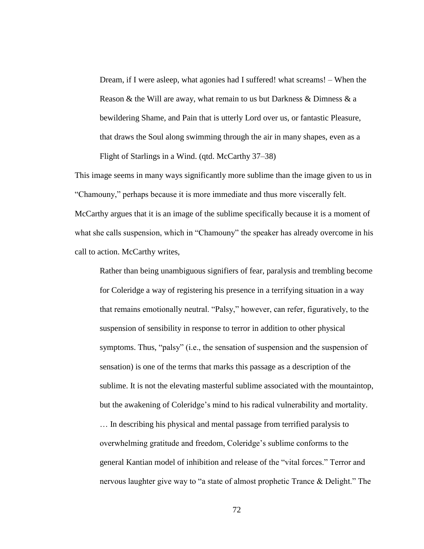Dream, if I were asleep, what agonies had I suffered! what screams! – When the Reason & the Will are away, what remain to us but Darkness & Dimness & a bewildering Shame, and Pain that is utterly Lord over us, or fantastic Pleasure, that draws the Soul along swimming through the air in many shapes, even as a Flight of Starlings in a Wind. (qtd. McCarthy 37–38)

This image seems in many ways significantly more sublime than the image given to us in "Chamouny," perhaps because it is more immediate and thus more viscerally felt. McCarthy argues that it is an image of the sublime specifically because it is a moment of what she calls suspension, which in "Chamouny" the speaker has already overcome in his call to action. McCarthy writes,

Rather than being unambiguous signifiers of fear, paralysis and trembling become for Coleridge a way of registering his presence in a terrifying situation in a way that remains emotionally neutral. "Palsy," however, can refer, figuratively, to the suspension of sensibility in response to terror in addition to other physical symptoms. Thus, "palsy" (i.e., the sensation of suspension and the suspension of sensation) is one of the terms that marks this passage as a description of the sublime. It is not the elevating masterful sublime associated with the mountaintop, but the awakening of Coleridge's mind to his radical vulnerability and mortality. … In describing his physical and mental passage from terrified paralysis to overwhelming gratitude and freedom, Coleridge's sublime conforms to the general Kantian model of inhibition and release of the "vital forces." Terror and nervous laughter give way to "a state of almost prophetic Trance & Delight." The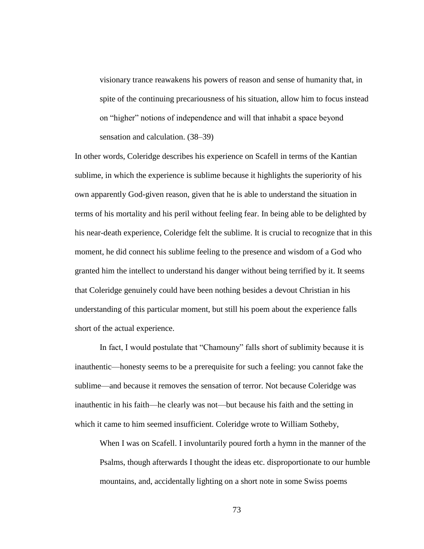visionary trance reawakens his powers of reason and sense of humanity that, in spite of the continuing precariousness of his situation, allow him to focus instead on "higher" notions of independence and will that inhabit a space beyond sensation and calculation. (38–39)

In other words, Coleridge describes his experience on Scafell in terms of the Kantian sublime, in which the experience is sublime because it highlights the superiority of his own apparently God-given reason, given that he is able to understand the situation in terms of his mortality and his peril without feeling fear. In being able to be delighted by his near-death experience, Coleridge felt the sublime. It is crucial to recognize that in this moment, he did connect his sublime feeling to the presence and wisdom of a God who granted him the intellect to understand his danger without being terrified by it. It seems that Coleridge genuinely could have been nothing besides a devout Christian in his understanding of this particular moment, but still his poem about the experience falls short of the actual experience.

In fact, I would postulate that "Chamouny" falls short of sublimity because it is inauthentic—honesty seems to be a prerequisite for such a feeling: you cannot fake the sublime—and because it removes the sensation of terror. Not because Coleridge was inauthentic in his faith—he clearly was not—but because his faith and the setting in which it came to him seemed insufficient. Coleridge wrote to William Sotheby,

When I was on Scafell. I involuntarily poured forth a hymn in the manner of the Psalms, though afterwards I thought the ideas etc. disproportionate to our humble mountains, and, accidentally lighting on a short note in some Swiss poems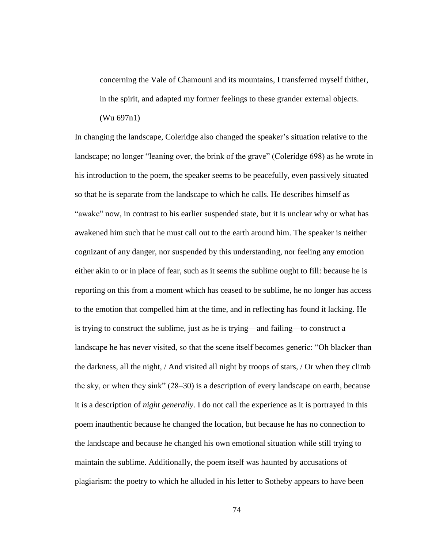concerning the Vale of Chamouni and its mountains, I transferred myself thither, in the spirit, and adapted my former feelings to these grander external objects.

(Wu 697n1)

In changing the landscape, Coleridge also changed the speaker's situation relative to the landscape; no longer "leaning over, the brink of the grave" (Coleridge 698) as he wrote in his introduction to the poem, the speaker seems to be peacefully, even passively situated so that he is separate from the landscape to which he calls. He describes himself as "awake" now, in contrast to his earlier suspended state, but it is unclear why or what has awakened him such that he must call out to the earth around him. The speaker is neither cognizant of any danger, nor suspended by this understanding, nor feeling any emotion either akin to or in place of fear, such as it seems the sublime ought to fill: because he is reporting on this from a moment which has ceased to be sublime, he no longer has access to the emotion that compelled him at the time, and in reflecting has found it lacking. He is trying to construct the sublime, just as he is trying—and failing—to construct a landscape he has never visited, so that the scene itself becomes generic: "Oh blacker than the darkness, all the night, / And visited all night by troops of stars, / Or when they climb the sky, or when they sink" (28–30) is a description of every landscape on earth, because it is a description of *night generally*. I do not call the experience as it is portrayed in this poem inauthentic because he changed the location, but because he has no connection to the landscape and because he changed his own emotional situation while still trying to maintain the sublime. Additionally, the poem itself was haunted by accusations of plagiarism: the poetry to which he alluded in his letter to Sotheby appears to have been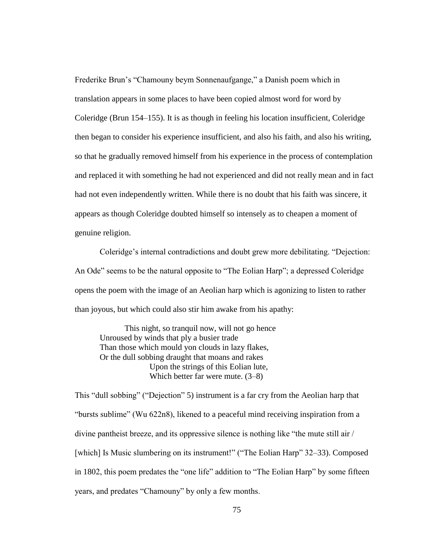Frederike Brun's "Chamouny beym Sonnenaufgange," a Danish poem which in translation appears in some places to have been copied almost word for word by Coleridge (Brun 154–155). It is as though in feeling his location insufficient, Coleridge then began to consider his experience insufficient, and also his faith, and also his writing, so that he gradually removed himself from his experience in the process of contemplation and replaced it with something he had not experienced and did not really mean and in fact had not even independently written. While there is no doubt that his faith was sincere, it appears as though Coleridge doubted himself so intensely as to cheapen a moment of genuine religion.

Coleridge's internal contradictions and doubt grew more debilitating. "Dejection: An Ode" seems to be the natural opposite to "The Eolian Harp"; a depressed Coleridge opens the poem with the image of an Aeolian harp which is agonizing to listen to rather than joyous, but which could also stir him awake from his apathy:

This night, so tranquil now, will not go hence Unroused by winds that ply a busier trade Than those which mould yon clouds in lazy flakes, Or the dull sobbing draught that moans and rakes Upon the strings of this Eolian lute, Which better far were mute. (3–8)

This "dull sobbing" ("Dejection" 5) instrument is a far cry from the Aeolian harp that "bursts sublime" (Wu 622n8), likened to a peaceful mind receiving inspiration from a divine pantheist breeze, and its oppressive silence is nothing like "the mute still air / [which] Is Music slumbering on its instrument!" ("The Eolian Harp" 32–33). Composed in 1802, this poem predates the "one life" addition to "The Eolian Harp" by some fifteen years, and predates "Chamouny" by only a few months.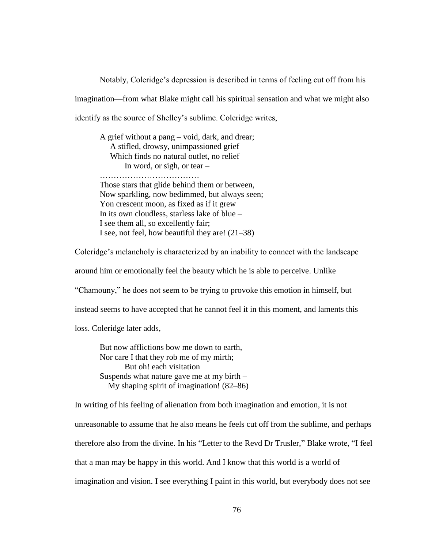Notably, Coleridge's depression is described in terms of feeling cut off from his imagination—from what Blake might call his spiritual sensation and what we might also identify as the source of Shelley's sublime. Coleridge writes,

A grief without a pang – void, dark, and drear; A stifled, drowsy, unimpassioned grief Which finds no natural outlet, no relief In word, or sigh, or tear  $-$ ………………………………………… Those stars that glide behind them or between, Now sparkling, now bedimmed, but always seen; Yon crescent moon, as fixed as if it grew In its own cloudless, starless lake of blue – I see them all, so excellently fair; I see, not feel, how beautiful they are! (21–38)

Coleridge's melancholy is characterized by an inability to connect with the landscape

around him or emotionally feel the beauty which he is able to perceive. Unlike

"Chamouny," he does not seem to be trying to provoke this emotion in himself, but

instead seems to have accepted that he cannot feel it in this moment, and laments this

loss. Coleridge later adds,

But now afflictions bow me down to earth, Nor care I that they rob me of my mirth; But oh! each visitation Suspends what nature gave me at my birth – My shaping spirit of imagination! (82–86)

In writing of his feeling of alienation from both imagination and emotion, it is not unreasonable to assume that he also means he feels cut off from the sublime, and perhaps therefore also from the divine. In his "Letter to the Revd Dr Trusler," Blake wrote, "I feel that a man may be happy in this world. And I know that this world is a world of imagination and vision. I see everything I paint in this world, but everybody does not see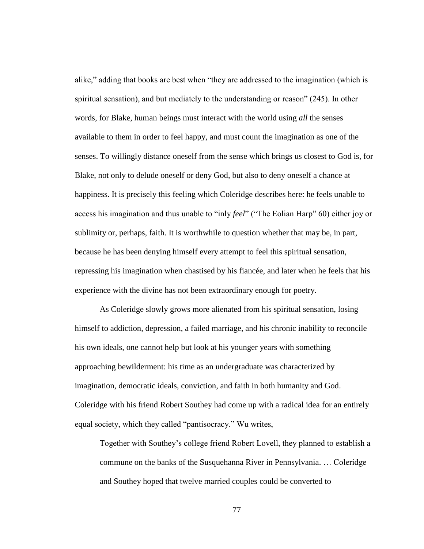alike," adding that books are best when "they are addressed to the imagination (which is spiritual sensation), and but mediately to the understanding or reason" (245). In other words, for Blake, human beings must interact with the world using *all* the senses available to them in order to feel happy, and must count the imagination as one of the senses. To willingly distance oneself from the sense which brings us closest to God is, for Blake, not only to delude oneself or deny God, but also to deny oneself a chance at happiness. It is precisely this feeling which Coleridge describes here: he feels unable to access his imagination and thus unable to "inly *feel*" ("The Eolian Harp" 60) either joy or sublimity or, perhaps, faith. It is worthwhile to question whether that may be, in part, because he has been denying himself every attempt to feel this spiritual sensation, repressing his imagination when chastised by his fiancée, and later when he feels that his experience with the divine has not been extraordinary enough for poetry.

As Coleridge slowly grows more alienated from his spiritual sensation, losing himself to addiction, depression, a failed marriage, and his chronic inability to reconcile his own ideals, one cannot help but look at his younger years with something approaching bewilderment: his time as an undergraduate was characterized by imagination, democratic ideals, conviction, and faith in both humanity and God. Coleridge with his friend Robert Southey had come up with a radical idea for an entirely equal society, which they called "pantisocracy." Wu writes,

Together with Southey's college friend Robert Lovell, they planned to establish a commune on the banks of the Susquehanna River in Pennsylvania. … Coleridge and Southey hoped that twelve married couples could be converted to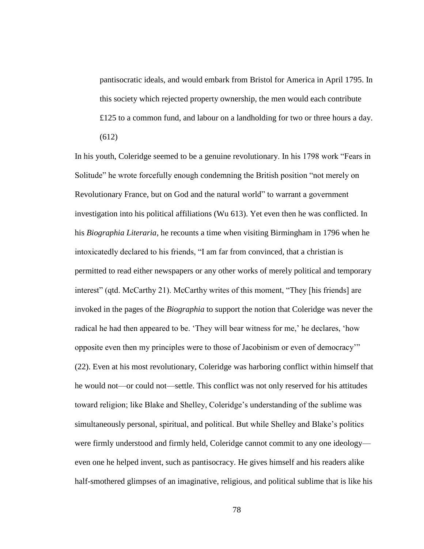pantisocratic ideals, and would embark from Bristol for America in April 1795. In this society which rejected property ownership, the men would each contribute £125 to a common fund, and labour on a landholding for two or three hours a day.

(612)

In his youth, Coleridge seemed to be a genuine revolutionary. In his 1798 work "Fears in Solitude" he wrote forcefully enough condemning the British position "not merely on Revolutionary France, but on God and the natural world" to warrant a government investigation into his political affiliations (Wu 613). Yet even then he was conflicted. In his *Biographia Literaria*, he recounts a time when visiting Birmingham in 1796 when he intoxicatedly declared to his friends, "I am far from convinced, that a christian is permitted to read either newspapers or any other works of merely political and temporary interest" (qtd. McCarthy 21). McCarthy writes of this moment, "They [his friends] are invoked in the pages of the *Biographia* to support the notion that Coleridge was never the radical he had then appeared to be. 'They will bear witness for me,' he declares, 'how opposite even then my principles were to those of Jacobinism or even of democracy'" (22). Even at his most revolutionary, Coleridge was harboring conflict within himself that he would not—or could not—settle. This conflict was not only reserved for his attitudes toward religion; like Blake and Shelley, Coleridge's understanding of the sublime was simultaneously personal, spiritual, and political. But while Shelley and Blake's politics were firmly understood and firmly held, Coleridge cannot commit to any one ideology even one he helped invent, such as pantisocracy. He gives himself and his readers alike half-smothered glimpses of an imaginative, religious, and political sublime that is like his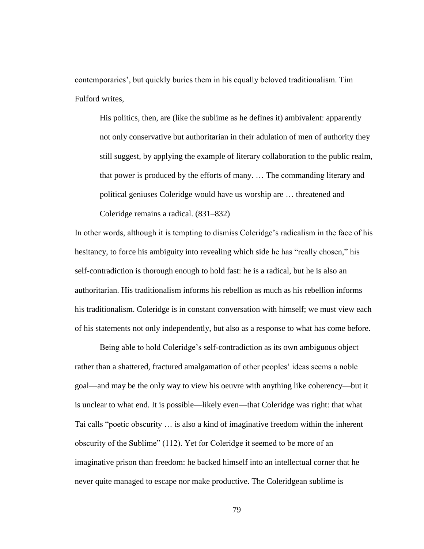contemporaries', but quickly buries them in his equally beloved traditionalism. Tim Fulford writes,

His politics, then, are (like the sublime as he defines it) ambivalent: apparently not only conservative but authoritarian in their adulation of men of authority they still suggest, by applying the example of literary collaboration to the public realm, that power is produced by the efforts of many. … The commanding literary and political geniuses Coleridge would have us worship are … threatened and Coleridge remains a radical. (831–832)

In other words, although it is tempting to dismiss Coleridge's radicalism in the face of his hesitancy, to force his ambiguity into revealing which side he has "really chosen," his self-contradiction is thorough enough to hold fast: he is a radical, but he is also an authoritarian. His traditionalism informs his rebellion as much as his rebellion informs his traditionalism. Coleridge is in constant conversation with himself; we must view each of his statements not only independently, but also as a response to what has come before.

Being able to hold Coleridge's self-contradiction as its own ambiguous object rather than a shattered, fractured amalgamation of other peoples' ideas seems a noble goal—and may be the only way to view his oeuvre with anything like coherency—but it is unclear to what end. It is possible—likely even—that Coleridge was right: that what Tai calls "poetic obscurity … is also a kind of imaginative freedom within the inherent obscurity of the Sublime" (112). Yet for Coleridge it seemed to be more of an imaginative prison than freedom: he backed himself into an intellectual corner that he never quite managed to escape nor make productive. The Coleridgean sublime is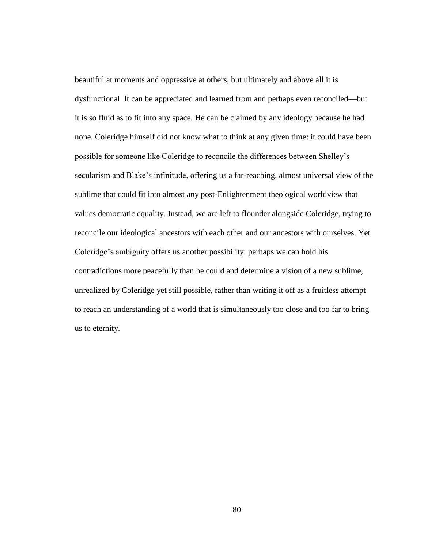beautiful at moments and oppressive at others, but ultimately and above all it is dysfunctional. It can be appreciated and learned from and perhaps even reconciled—but it is so fluid as to fit into any space. He can be claimed by any ideology because he had none. Coleridge himself did not know what to think at any given time: it could have been possible for someone like Coleridge to reconcile the differences between Shelley's secularism and Blake's infinitude, offering us a far-reaching, almost universal view of the sublime that could fit into almost any post-Enlightenment theological worldview that values democratic equality. Instead, we are left to flounder alongside Coleridge, trying to reconcile our ideological ancestors with each other and our ancestors with ourselves. Yet Coleridge's ambiguity offers us another possibility: perhaps we can hold his contradictions more peacefully than he could and determine a vision of a new sublime, unrealized by Coleridge yet still possible, rather than writing it off as a fruitless attempt to reach an understanding of a world that is simultaneously too close and too far to bring us to eternity.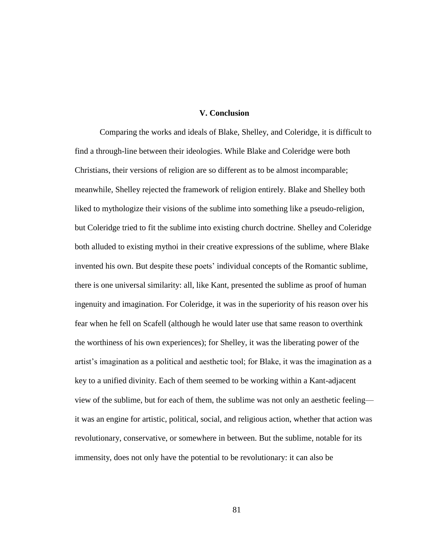## **V. Conclusion**

Comparing the works and ideals of Blake, Shelley, and Coleridge, it is difficult to find a through-line between their ideologies. While Blake and Coleridge were both Christians, their versions of religion are so different as to be almost incomparable; meanwhile, Shelley rejected the framework of religion entirely. Blake and Shelley both liked to mythologize their visions of the sublime into something like a pseudo-religion, but Coleridge tried to fit the sublime into existing church doctrine. Shelley and Coleridge both alluded to existing mythoi in their creative expressions of the sublime, where Blake invented his own. But despite these poets' individual concepts of the Romantic sublime, there is one universal similarity: all, like Kant, presented the sublime as proof of human ingenuity and imagination. For Coleridge, it was in the superiority of his reason over his fear when he fell on Scafell (although he would later use that same reason to overthink the worthiness of his own experiences); for Shelley, it was the liberating power of the artist's imagination as a political and aesthetic tool; for Blake, it was the imagination as a key to a unified divinity. Each of them seemed to be working within a Kant-adjacent view of the sublime, but for each of them, the sublime was not only an aesthetic feeling it was an engine for artistic, political, social, and religious action, whether that action was revolutionary, conservative, or somewhere in between. But the sublime, notable for its immensity, does not only have the potential to be revolutionary: it can also be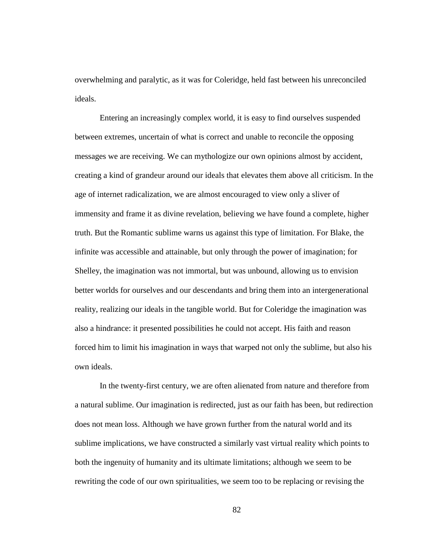overwhelming and paralytic, as it was for Coleridge, held fast between his unreconciled ideals.

Entering an increasingly complex world, it is easy to find ourselves suspended between extremes, uncertain of what is correct and unable to reconcile the opposing messages we are receiving. We can mythologize our own opinions almost by accident, creating a kind of grandeur around our ideals that elevates them above all criticism. In the age of internet radicalization, we are almost encouraged to view only a sliver of immensity and frame it as divine revelation, believing we have found a complete, higher truth. But the Romantic sublime warns us against this type of limitation. For Blake, the infinite was accessible and attainable, but only through the power of imagination; for Shelley, the imagination was not immortal, but was unbound, allowing us to envision better worlds for ourselves and our descendants and bring them into an intergenerational reality, realizing our ideals in the tangible world. But for Coleridge the imagination was also a hindrance: it presented possibilities he could not accept. His faith and reason forced him to limit his imagination in ways that warped not only the sublime, but also his own ideals.

In the twenty-first century, we are often alienated from nature and therefore from a natural sublime. Our imagination is redirected, just as our faith has been, but redirection does not mean loss. Although we have grown further from the natural world and its sublime implications, we have constructed a similarly vast virtual reality which points to both the ingenuity of humanity and its ultimate limitations; although we seem to be rewriting the code of our own spiritualities, we seem too to be replacing or revising the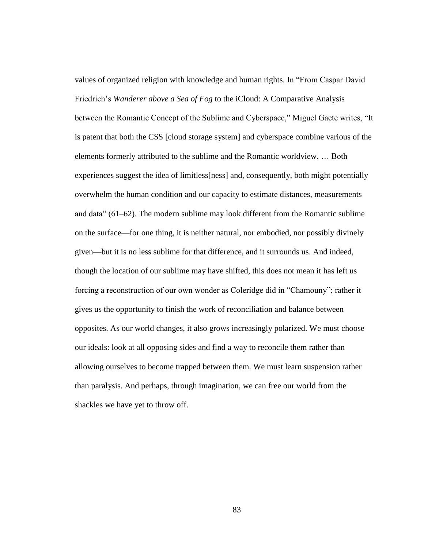values of organized religion with knowledge and human rights. In "From Caspar David Friedrich's *Wanderer above a Sea of Fog* to the iCloud: A Comparative Analysis between the Romantic Concept of the Sublime and Cyberspace," Miguel Gaete writes, "It is patent that both the CSS [cloud storage system] and cyberspace combine various of the elements formerly attributed to the sublime and the Romantic worldview. … Both experiences suggest the idea of limitless[ness] and, consequently, both might potentially overwhelm the human condition and our capacity to estimate distances, measurements and data" (61–62). The modern sublime may look different from the Romantic sublime on the surface—for one thing, it is neither natural, nor embodied, nor possibly divinely given—but it is no less sublime for that difference, and it surrounds us. And indeed, though the location of our sublime may have shifted, this does not mean it has left us forcing a reconstruction of our own wonder as Coleridge did in "Chamouny"; rather it gives us the opportunity to finish the work of reconciliation and balance between opposites. As our world changes, it also grows increasingly polarized. We must choose our ideals: look at all opposing sides and find a way to reconcile them rather than allowing ourselves to become trapped between them. We must learn suspension rather than paralysis. And perhaps, through imagination, we can free our world from the shackles we have yet to throw off.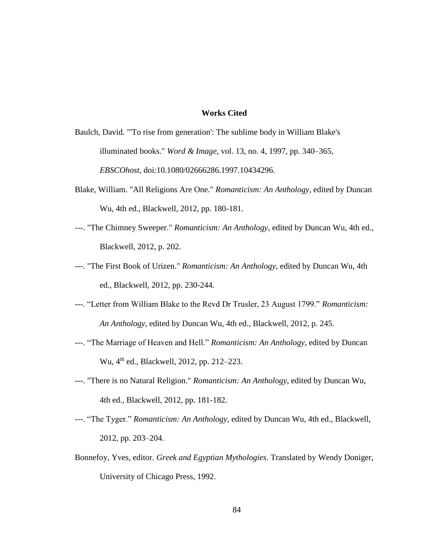## **Works Cited**

- Baulch, David. "'To rise from generation': The sublime body in William Blake's illuminated books." *Word & Image*, vol. 13, no. 4, 1997, pp. 340–365, *EBSCOhost*, doi:10.1080/02666286.1997.10434296.
- Blake, William. "All Religions Are One." *Romanticism: An Anthology*, edited by Duncan Wu, 4th ed., Blackwell, 2012, pp. 180-181.
- ---. "The Chimney Sweeper." *Romanticism: An Anthology*, edited by Duncan Wu, 4th ed., Blackwell, 2012, p. 202.
- ---. "The First Book of Urizen." *Romanticism: An Anthology*, edited by Duncan Wu, 4th ed., Blackwell, 2012, pp. 230-244.
- ---. "Letter from William Blake to the Revd Dr Trusler, 23 August 1799." *Romanticism: An Anthology*, edited by Duncan Wu, 4th ed., Blackwell, 2012, p. 245.
- ---. "The Marriage of Heaven and Hell." *Romanticism: An Anthology*, edited by Duncan Wu, 4<sup>th</sup> ed., Blackwell, 2012, pp. 212–223.
- ---. "There is no Natural Religion." *Romanticism: An Anthology*, edited by Duncan Wu, 4th ed., Blackwell, 2012, pp. 181-182.
- ---. "The Tyger." *Romanticism: An Anthology*, edited by Duncan Wu, 4th ed., Blackwell, 2012, pp. 203–204.
- Bonnefoy, Yves, editor. *Greek and Egyptian Mythologies*. Translated by Wendy Doniger, University of Chicago Press, 1992.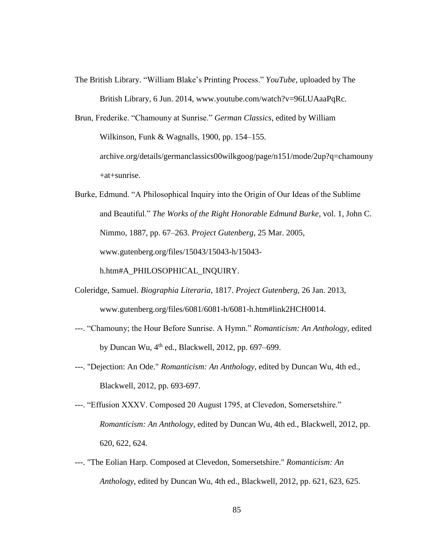- The British Library. "William Blake's Printing Process." *YouTube*, uploaded by The British Library, 6 Jun. 2014, www.youtube.com/watch?v=96LUAaaPqRc.
- Brun, Frederike. "Chamouny at Sunrise." *German Classics*, edited by William Wilkinson, Funk & Wagnalls, 1900, pp. 154–155. archive.org/details/germanclassics00wilkgoog/page/n151/mode/2up?q=chamouny +at+sunrise.
- Burke, Edmund. "A Philosophical Inquiry into the Origin of Our Ideas of the Sublime and Beautiful." *The Works of the Right Honorable Edmund Burke*, vol. 1, John C. Nimmo, 1887, pp. 67–263. *Project Gutenberg*, 25 Mar. 2005, www.gutenberg.org/files/15043/15043-h/15043 h.htm#A\_PHILOSOPHICAL\_INQUIRY.
- Coleridge, Samuel. *Biographia Literaria*, 1817. *Project Gutenberg*, 26 Jan. 2013, www.gutenberg.org/files/6081/6081-h/6081-h.htm#link2HCH0014.
- ---. "Chamouny; the Hour Before Sunrise. A Hymn." *Romanticism: An Anthology*, edited by Duncan Wu,  $4<sup>th</sup>$  ed., Blackwell, 2012, pp. 697–699.
- ---. "Dejection: An Ode." *Romanticism: An Anthology*, edited by Duncan Wu, 4th ed., Blackwell, 2012, pp. 693-697.
- ---. "Effusion XXXV. Composed 20 August 1795, at Clevedon, Somersetshire." *Romanticism: An Anthology*, edited by Duncan Wu, 4th ed., Blackwell, 2012, pp. 620, 622, 624.
- ---. "The Eolian Harp. Composed at Clevedon, Somersetshire." *Romanticism: An Anthology*, edited by Duncan Wu, 4th ed., Blackwell, 2012, pp. 621, 623, 625.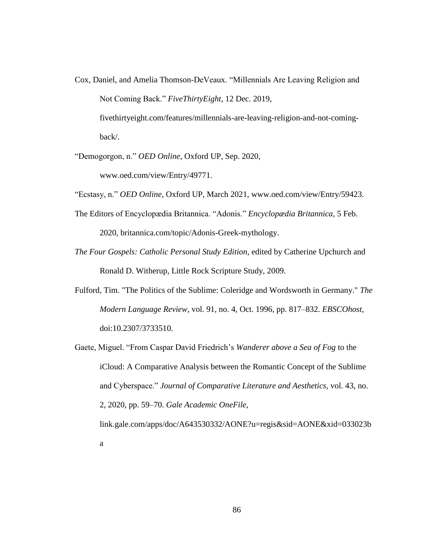Cox, Daniel, and Amelia Thomson-DeVeaux. "Millennials Are Leaving Religion and Not Coming Back." *FiveThirtyEight*, 12 Dec. 2019,

fivethirtyeight.com/features/millennials-are-leaving-religion-and-not-comingback/.

- "Demogorgon, n." *OED Online*, Oxford UP, Sep. 2020, www.oed.com/view/Entry/49771.
- "Ecstasy, n." *OED Online*, Oxford UP, March 2021, www.oed.com/view/Entry/59423.
- The Editors of Encyclopædia Britannica. "Adonis." *Encyclopædia Britannica*, 5 Feb. 2020, britannica.com/topic/Adonis-Greek-mythology.
- *The Four Gospels: Catholic Personal Study Edition*, edited by Catherine Upchurch and Ronald D. Witherup, Little Rock Scripture Study, 2009.
- Fulford, Tim. "The Politics of the Sublime: Coleridge and Wordsworth in Germany." *The Modern Language Review*, vol. 91, no. 4, Oct. 1996, pp. 817–832. *EBSCOhost*, doi:10.2307/3733510.
- Gaete, Miguel. "From Caspar David Friedrich's *Wanderer above a Sea of Fog* to the iCloud: A Comparative Analysis between the Romantic Concept of the Sublime and Cyberspace." *Journal of Comparative Literature and Aesthetics*, vol. 43, no. 2, 2020, pp. 59–70. *Gale Academic OneFile*, link.gale.com/apps/doc/A643530332/AONE?u=regis&sid=AONE&xid=033023b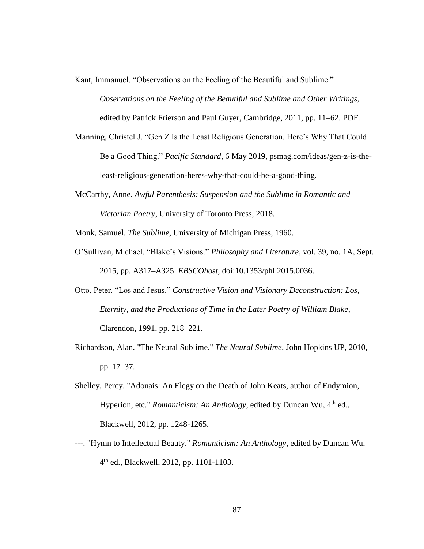Kant, Immanuel. "Observations on the Feeling of the Beautiful and Sublime."

*Observations on the Feeling of the Beautiful and Sublime and Other Writings*, edited by Patrick Frierson and Paul Guyer, Cambridge, 2011, pp. 11–62. PDF.

- Manning, Christel J. "Gen Z Is the Least Religious Generation. Here's Why That Could Be a Good Thing." *Pacific Standard*, 6 May 2019, psmag.com/ideas/gen-z-is-theleast-religious-generation-heres-why-that-could-be-a-good-thing.
- McCarthy, Anne. *Awful Parenthesis: Suspension and the Sublime in Romantic and Victorian Poetry*, University of Toronto Press, 2018.

Monk, Samuel. *The Sublime*, University of Michigan Press, 1960.

- O'Sullivan, Michael. "Blake's Visions." *Philosophy and Literature*, vol. 39, no. 1A, Sept. 2015, pp. A317–A325. *EBSCOhost*, doi:10.1353/phl.2015.0036.
- Otto, Peter. "Los and Jesus." *Constructive Vision and Visionary Deconstruction: Los, Eternity, and the Productions of Time in the Later Poetry of William Blake*, Clarendon, 1991, pp. 218–221.
- Richardson, Alan. "The Neural Sublime." *The Neural Sublime*, John Hopkins UP, 2010, pp. 17–37.
- Shelley, Percy. "Adonais: An Elegy on the Death of John Keats, author of Endymion, Hyperion, etc." *Romanticism: An Anthology*, edited by Duncan Wu, 4<sup>th</sup> ed., Blackwell, 2012, pp. 1248-1265.
- ---. "Hymn to Intellectual Beauty." *Romanticism: An Anthology*, edited by Duncan Wu, 4 th ed., Blackwell, 2012, pp. 1101-1103.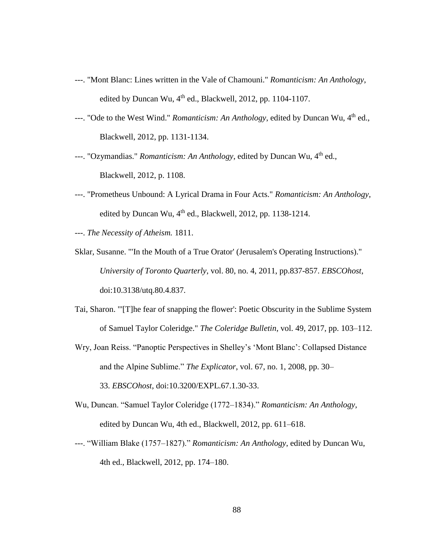- ---. "Mont Blanc: Lines written in the Vale of Chamouni." *Romanticism: An Anthology*, edited by Duncan Wu, 4<sup>th</sup> ed., Blackwell, 2012, pp. 1104-1107.
- ---. "Ode to the West Wind." *Romanticism: An Anthology*, edited by Duncan Wu, 4<sup>th</sup> ed., Blackwell, 2012, pp. 1131-1134.
- ---. "Ozymandias." *Romanticism: An Anthology*, edited by Duncan Wu, 4<sup>th</sup> ed., Blackwell, 2012, p. 1108.
- ---. "Prometheus Unbound: A Lyrical Drama in Four Acts." *Romanticism: An Anthology*, edited by Duncan Wu, 4<sup>th</sup> ed., Blackwell, 2012, pp. 1138-1214.
- ---. *The Necessity of Atheism.* 1811.
- Sklar, Susanne. "'In the Mouth of a True Orator' (Jerusalem's Operating Instructions)." *University of Toronto Quarterly*, vol. 80, no. 4, 2011, pp.837-857. *EBSCOhost*, doi:10.3138/utq.80.4.837.
- Tai, Sharon. "'[T]he fear of snapping the flower': Poetic Obscurity in the Sublime System of Samuel Taylor Coleridge." *The Coleridge Bulletin*, vol. 49, 2017, pp. 103–112.
- Wry, Joan Reiss. "Panoptic Perspectives in Shelley's 'Mont Blanc': Collapsed Distance and the Alpine Sublime." *The Explicator*, vol. 67, no. 1, 2008, pp. 30– 33. *EBSCOhost*, doi:10.3200/EXPL.67.1.30-33.
- Wu, Duncan. "Samuel Taylor Coleridge (1772–1834)." *Romanticism: An Anthology*, edited by Duncan Wu, 4th ed., Blackwell, 2012, pp. 611–618.
- ---. "William Blake (1757–1827)." *Romanticism: An Anthology*, edited by Duncan Wu, 4th ed., Blackwell, 2012, pp. 174–180.